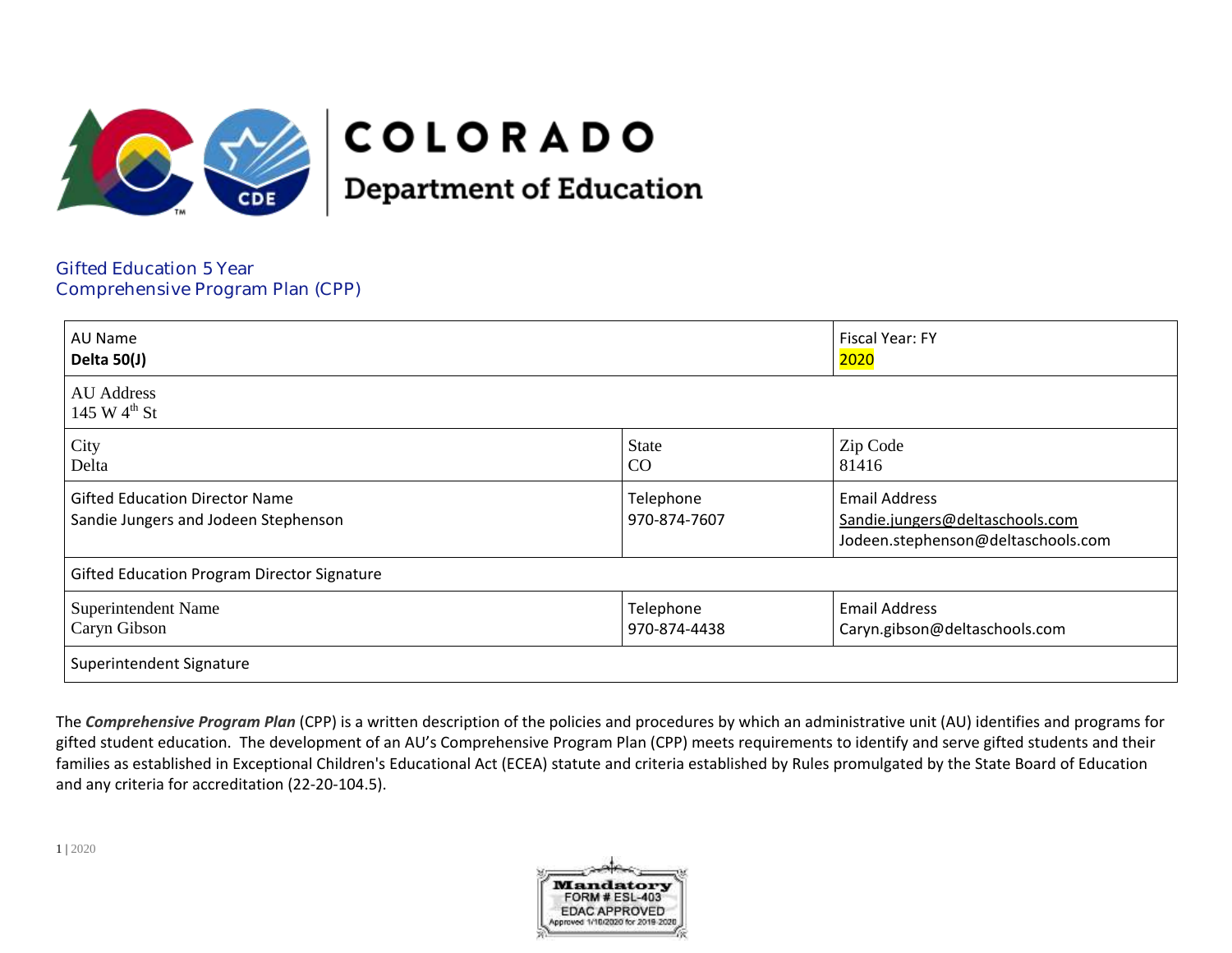

# **COLORADO**

**Department of Education** 

Gifted Education 5 Year Comprehensive Program Plan (CPP)

| AU Name<br>Delta 50(J)                                                        |                           | <b>Fiscal Year: FY</b><br>2020                                                                |
|-------------------------------------------------------------------------------|---------------------------|-----------------------------------------------------------------------------------------------|
| <b>AU</b> Address<br>145 W $4^{\text{th}}$ St                                 |                           |                                                                                               |
| City<br>Delta                                                                 | <b>State</b><br>CO        | Zip Code<br>81416                                                                             |
| <b>Gifted Education Director Name</b><br>Sandie Jungers and Jodeen Stephenson | Telephone<br>970-874-7607 | <b>Email Address</b><br>Sandie.jungers@deltaschools.com<br>Jodeen.stephenson@deltaschools.com |
| <b>Gifted Education Program Director Signature</b>                            |                           |                                                                                               |
| <b>Superintendent Name</b><br>Caryn Gibson                                    | Telephone<br>970-874-4438 | <b>Email Address</b><br>Caryn.gibson@deltaschools.com                                         |
| Superintendent Signature                                                      |                           |                                                                                               |

The *Comprehensive Program Plan* (CPP) is a written description of the policies and procedures by which an administrative unit (AU) identifies and programs for gifted student education. The development of an AU's Comprehensive Program Plan (CPP) meets requirements to identify and serve gifted students and their families as established in Exceptional Children's Educational Act (ECEA) statute and criteria established by Rules promulgated by the State Board of Education and any criteria for accreditation (22-20-104.5).

1 | 2020

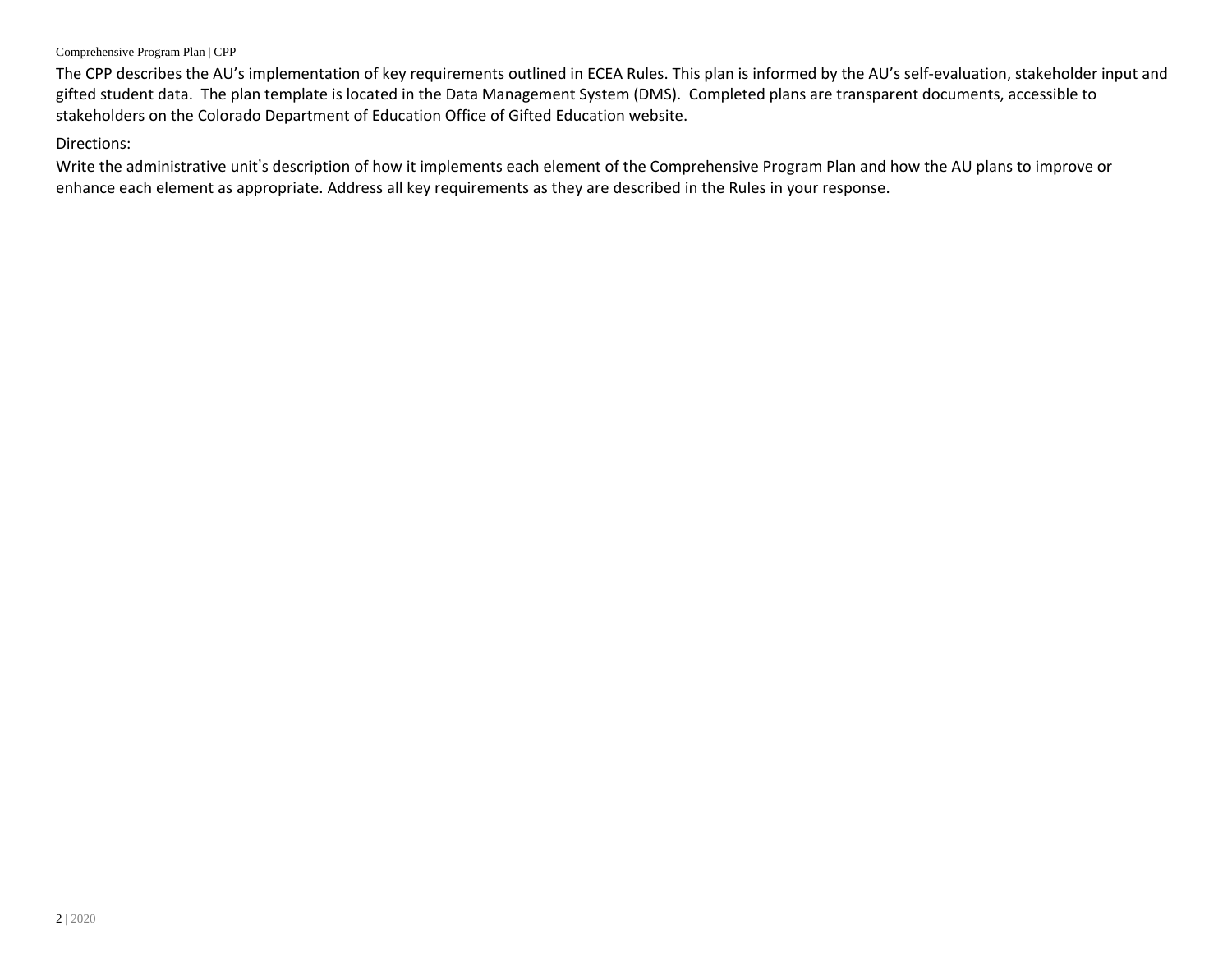The CPP describes the AU's implementation of key requirements outlined in ECEA Rules. This plan is informed by the AU's self-evaluation, stakeholder input and gifted student data. The plan template is located in the Data Management System (DMS). Completed plans are transparent documents, accessible to stakeholders on the Colorado Department of Education Office of Gifted Education website.

### Directions:

Write the administrative unit's description of how it implements each element of the Comprehensive Program Plan and how the AU plans to improve or enhance each element as appropriate. Address all key requirements as they are described in the Rules in your response.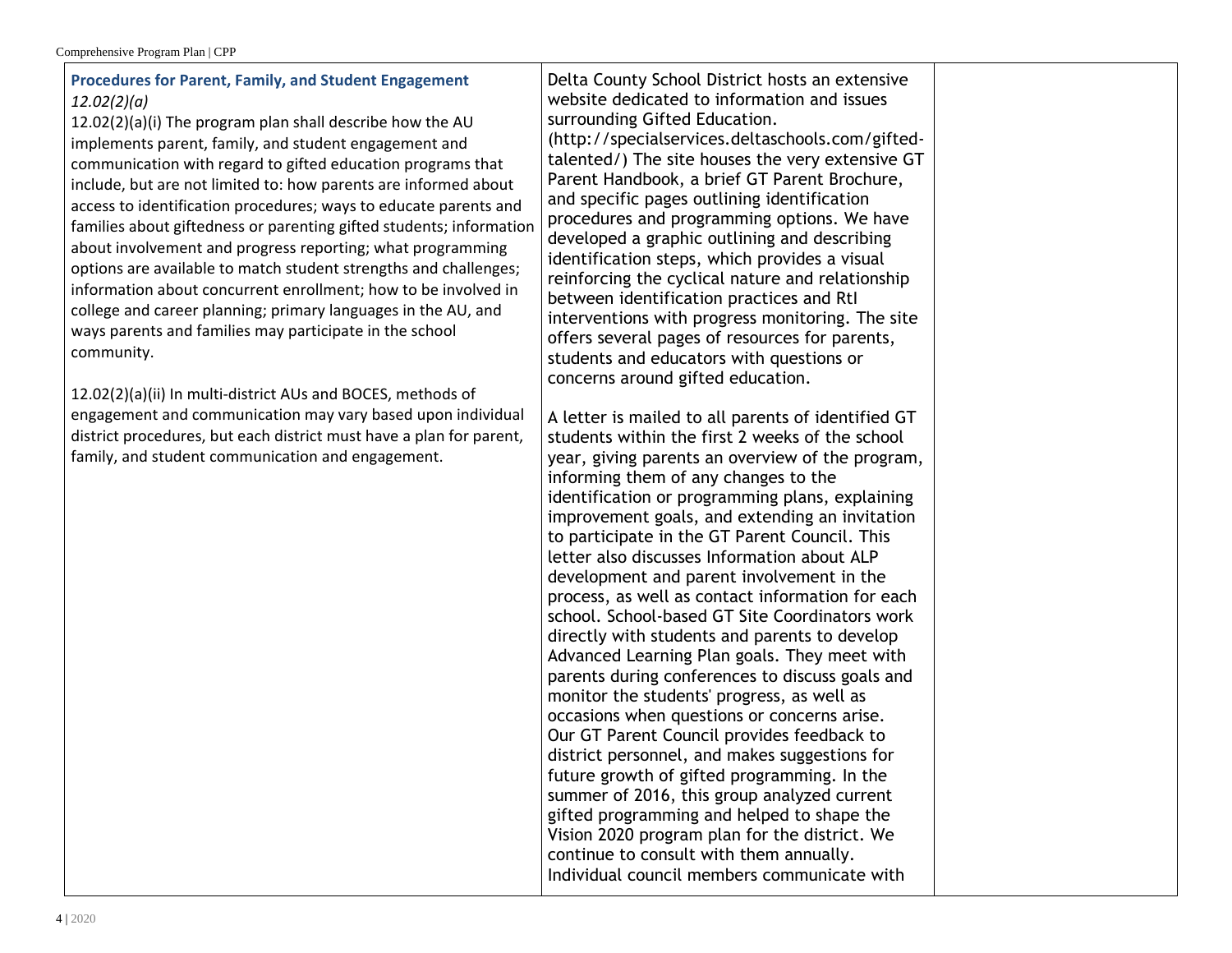## **Procedures for Parent, Family, and Student Engagement** *12.02(2)(a)*

12.02(2)(a)(i) The program plan shall describe how the AU implements parent, family, and student engagement and communication with regard to gifted education programs that include, but are not limited to: how parents are informed about access to identification procedures; ways to educate parents and families about giftedness or parenting gifted students; information about involvement and progress reporting; what programming options are available to match student strengths and challenges; information about concurrent enrollment; how to be involved in college and career planning; primary languages in the AU, and ways parents and families may participate in the school community.

12.02(2)(a)(ii) In multi-district AUs and BOCES, methods of engagement and communication may vary based upon individual district procedures, but each district must have a plan for parent, family, and student communication and engagement.

Delta County School District hosts an extensive website dedicated to information and issues surrounding Gifted Education. (http://specialservices.deltaschools.com/giftedtalented/) The site houses the very extensive GT Parent Handbook, a brief GT Parent Brochure, and specific pages outlining identification procedures and programming options. We have developed a graphic outlining and describing identification steps, which provides a visual reinforcing the cyclical nature and relationship between identification practices and RtI interventions with progress monitoring. The site offers several pages of resources for parents, students and educators with questions or concerns around gifted education.

A letter is mailed to all parents of identified GT students within the first 2 weeks of the school year, giving parents an overview of the program, informing them of any changes to the identification or programming plans, explaining improvement goals, and extending an invitation to participate in the GT Parent Council. This letter also discusses Information about ALP development and parent involvement in the process, as well as contact information for each school. School-based GT Site Coordinators work directly with students and parents to develop Advanced Learning Plan goals. They meet with parents during conferences to discuss goals and monitor the students' progress, as well as occasions when questions or concerns arise. Our GT Parent Council provides feedback to district personnel, and makes suggestions for future growth of gifted programming. In the summer of 2016, this group analyzed current gifted programming and helped to shape the Vision 2020 program plan for the district. We continue to consult with them annually. Individual council members communicate with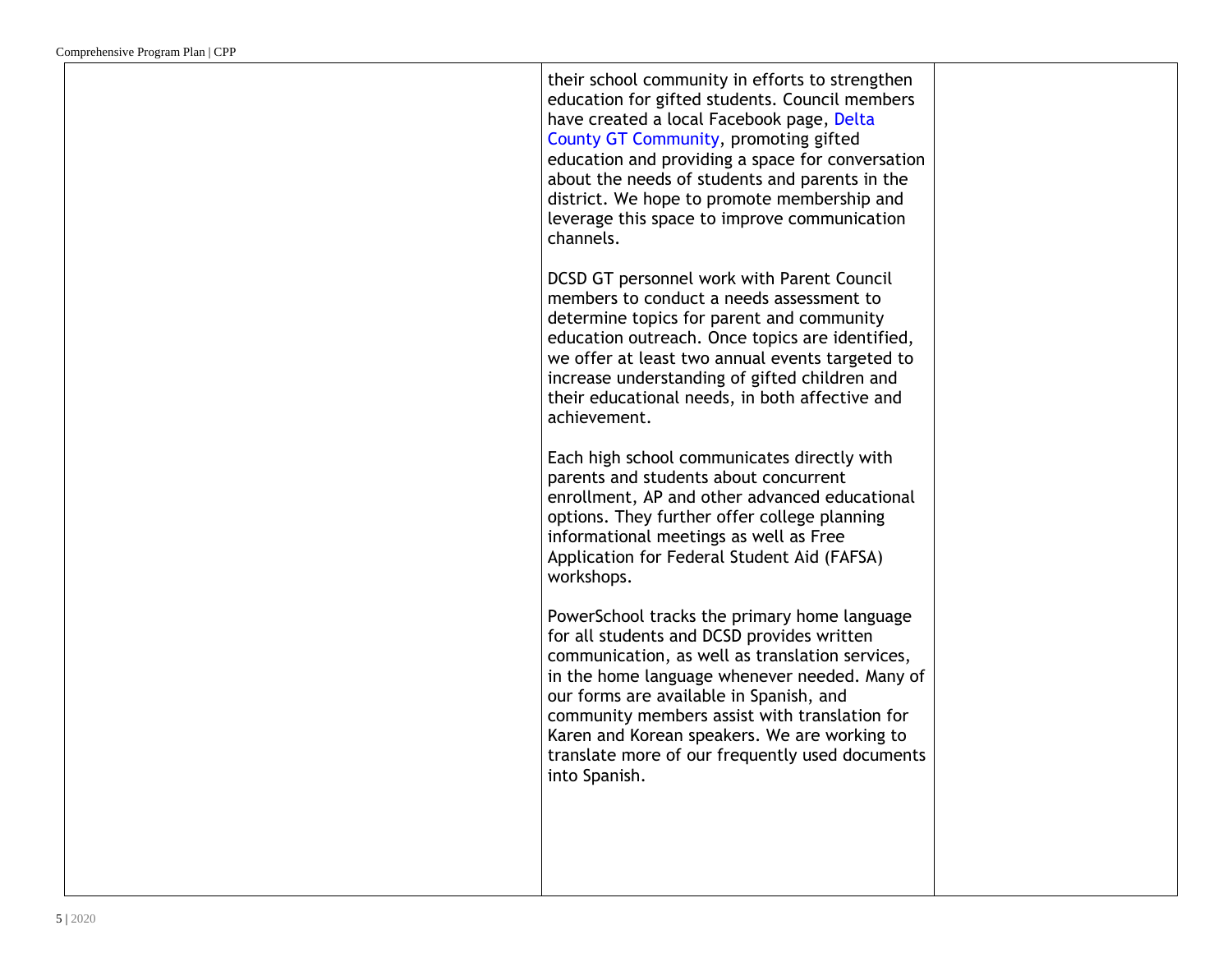their school community in efforts to strengthen education for gifted students. Council members have created a local Facebook page, Delta County GT Community, promoting gifted education and providing a space for conversation about the needs of students and parents in the district. We hope to promote membership and leverage this space to improve communication channels. DCSD GT personnel work with Parent Council members to conduct a needs assessment to determine topics for parent and community education outreach. Once topics are identified, we offer at least two annual events targeted to increase understanding of gifted children and their educational needs, in both affective and achievement. Each high school communicates directly with parents and students about concurrent enrollment, AP and other advanced educational options. They further offer college planning informational meetings as well as Free Application for Federal Student Aid (FAFSA) workshops. PowerSchool tracks the primary home language for all students and DCSD provides written communication, as well as translation services, in the home language whenever needed. Many of our forms are available in Spanish, and community members assist with translation for Karen and Korean speakers. We are working to translate more of our frequently used documents into Spanish.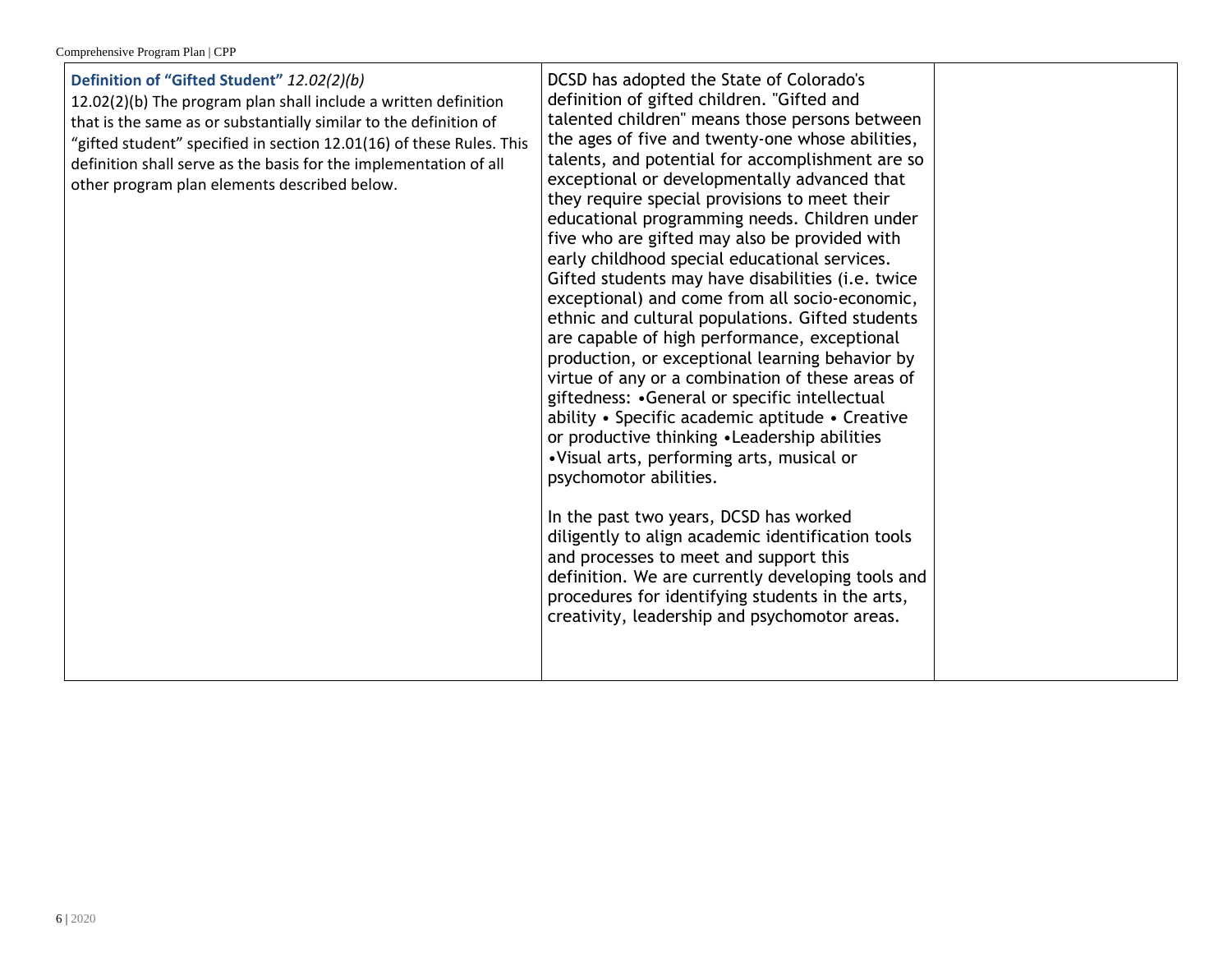| Definition of "Gifted Student" 12.02(2)(b)<br>12.02(2)(b) The program plan shall include a written definition<br>that is the same as or substantially similar to the definition of<br>"gifted student" specified in section 12.01(16) of these Rules. This<br>definition shall serve as the basis for the implementation of all<br>other program plan elements described below. | DCSD has adopted the State of Colorado's<br>definition of gifted children. "Gifted and<br>talented children" means those persons between<br>the ages of five and twenty-one whose abilities,<br>talents, and potential for accomplishment are so<br>exceptional or developmentally advanced that<br>they require special provisions to meet their<br>educational programming needs. Children under<br>five who are gifted may also be provided with<br>early childhood special educational services.<br>Gifted students may have disabilities (i.e. twice<br>exceptional) and come from all socio-economic,<br>ethnic and cultural populations. Gifted students<br>are capable of high performance, exceptional<br>production, or exceptional learning behavior by<br>virtue of any or a combination of these areas of<br>giftedness: • General or specific intellectual<br>ability • Specific academic aptitude • Creative<br>or productive thinking • Leadership abilities<br>•Visual arts, performing arts, musical or<br>psychomotor abilities.<br>In the past two years, DCSD has worked<br>diligently to align academic identification tools<br>and processes to meet and support this<br>definition. We are currently developing tools and<br>procedures for identifying students in the arts,<br>creativity, leadership and psychomotor areas. |  |
|---------------------------------------------------------------------------------------------------------------------------------------------------------------------------------------------------------------------------------------------------------------------------------------------------------------------------------------------------------------------------------|--------------------------------------------------------------------------------------------------------------------------------------------------------------------------------------------------------------------------------------------------------------------------------------------------------------------------------------------------------------------------------------------------------------------------------------------------------------------------------------------------------------------------------------------------------------------------------------------------------------------------------------------------------------------------------------------------------------------------------------------------------------------------------------------------------------------------------------------------------------------------------------------------------------------------------------------------------------------------------------------------------------------------------------------------------------------------------------------------------------------------------------------------------------------------------------------------------------------------------------------------------------------------------------------------------------------------------------------------------|--|
|---------------------------------------------------------------------------------------------------------------------------------------------------------------------------------------------------------------------------------------------------------------------------------------------------------------------------------------------------------------------------------|--------------------------------------------------------------------------------------------------------------------------------------------------------------------------------------------------------------------------------------------------------------------------------------------------------------------------------------------------------------------------------------------------------------------------------------------------------------------------------------------------------------------------------------------------------------------------------------------------------------------------------------------------------------------------------------------------------------------------------------------------------------------------------------------------------------------------------------------------------------------------------------------------------------------------------------------------------------------------------------------------------------------------------------------------------------------------------------------------------------------------------------------------------------------------------------------------------------------------------------------------------------------------------------------------------------------------------------------------------|--|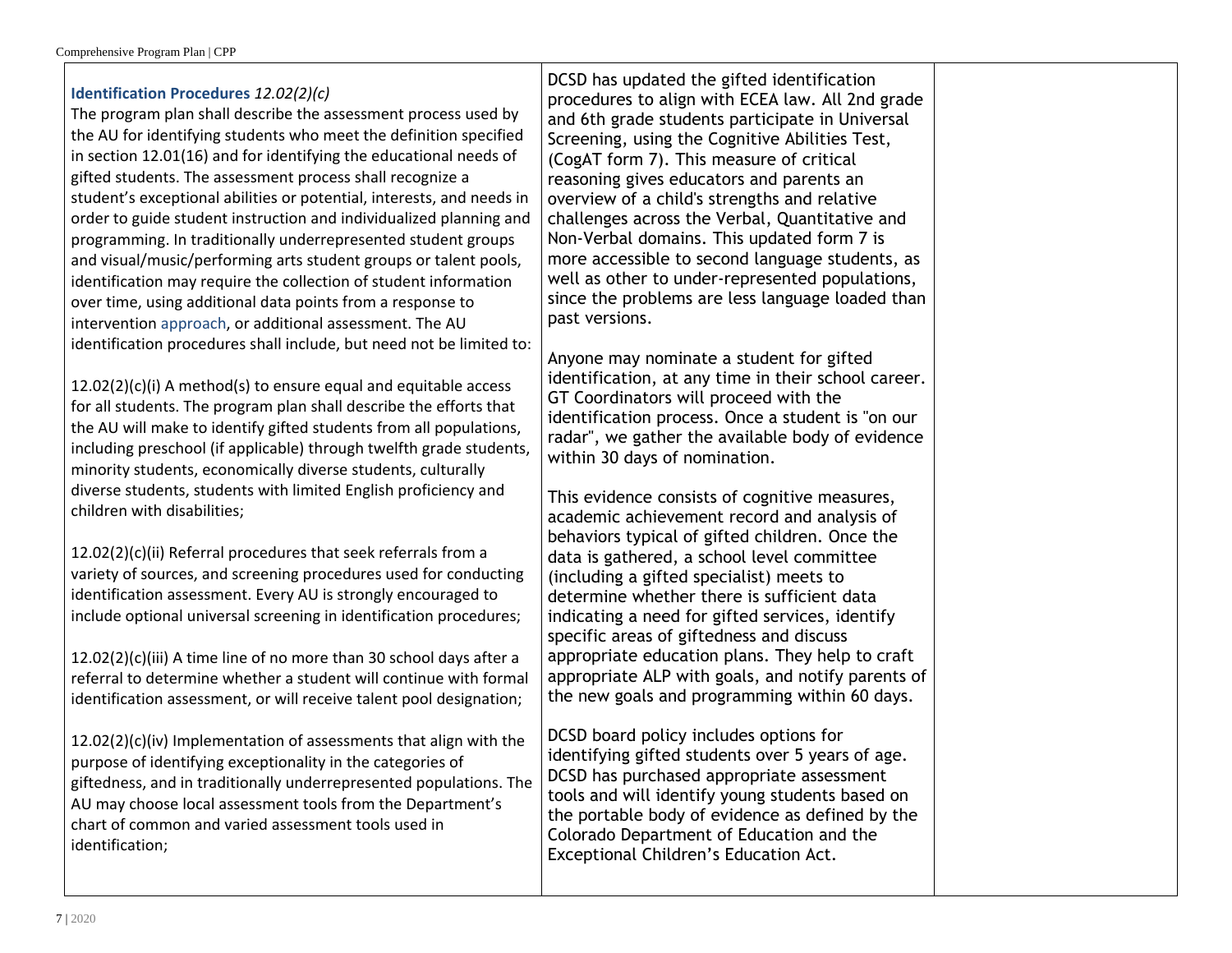## **Identification Procedures** *12.02(2)(c)*

The program plan shall describe the assessment process used by the AU for identifying students who meet the definition specified in section 12.01(16) and for identifying the educational needs of gifted students. The assessment process shall recognize a student's exceptional abilities or potential, interests, and needs in order to guide student instruction and individualized planning and programming. In traditionally underrepresented student groups and visual/music/performing arts student groups or talent pools, identification may require the collection of student information over time, using additional data points from a response to intervention approach, or additional assessment. The AU identification procedures shall include, but need not be limited to:

12.02(2)(c)(i) A method(s) to ensure equal and equitable access for all students. The program plan shall describe the efforts that the AU will make to identify gifted students from all populations, including preschool (if applicable) through twelfth grade students, minority students, economically diverse students, culturally diverse students, students with limited English proficiency and children with disabilities;

12.02(2)(c)(ii) Referral procedures that seek referrals from a variety of sources, and screening procedures used for conducting identification assessment. Every AU is strongly encouraged to include optional universal screening in identification procedures;

12.02(2)(c)(iii) A time line of no more than 30 school days after a referral to determine whether a student will continue with formal identification assessment, or will receive talent pool designation;

12.02(2)(c)(iv) Implementation of assessments that align with the purpose of identifying exceptionality in the categories of giftedness, and in traditionally underrepresented populations. The AU may choose local assessment tools from the Department's chart of common and varied assessment tools used in identification;

DCSD has updated the gifted identification procedures to align with ECEA law. All 2nd grade and 6th grade students participate in Universal Screening, using the Cognitive Abilities Test, (CogAT form 7). This measure of critical reasoning gives educators and parents an overview of a child's strengths and relative challenges across the Verbal, Quantitative and Non-Verbal domains. This updated form 7 is more accessible to second language students, as well as other to under-represented populations, since the problems are less language loaded than past versions.

Anyone may nominate a student for gifted identification, at any time in their school career. GT Coordinators will proceed with the identification process. Once a student is "on our radar", we gather the available body of evidence within 30 days of nomination.

This evidence consists of cognitive measures, academic achievement record and analysis of behaviors typical of gifted children. Once the data is gathered, a school level committee (including a gifted specialist) meets to determine whether there is sufficient data indicating a need for gifted services, identify specific areas of giftedness and discuss appropriate education plans. They help to craft appropriate ALP with goals, and notify parents of the new goals and programming within 60 days.

DCSD board policy includes options for identifying gifted students over 5 years of age. DCSD has purchased appropriate assessment tools and will identify young students based on the portable body of evidence as defined by the Colorado Department of Education and the Exceptional Children's Education Act.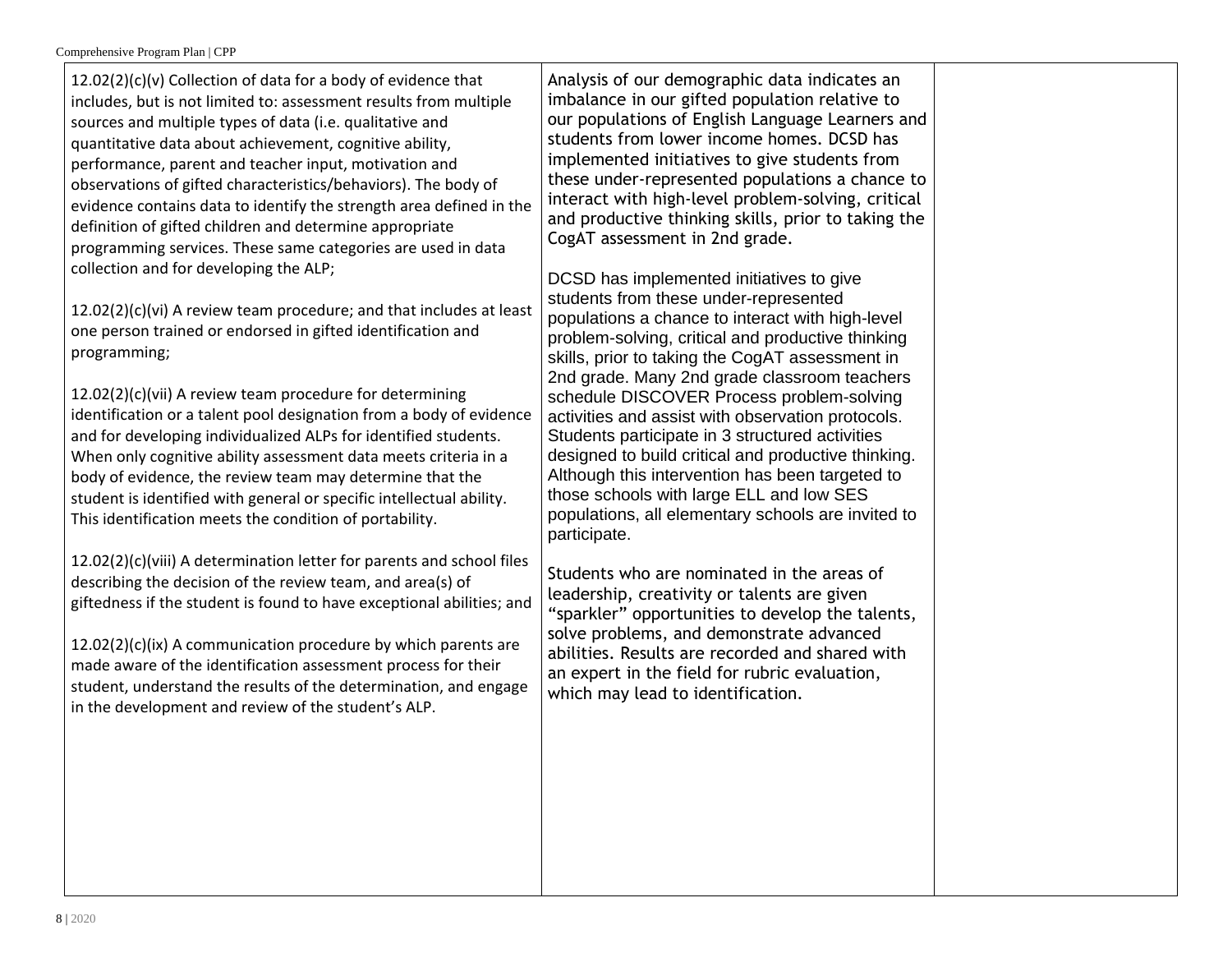12.02(2)(c)(v) Collection of data for a body of evidence that includes, but is not limited to: assessment results from multiple sources and multiple types of data (i.e. qualitative and quantitative data about achievement, cognitive ability, performance, parent and teacher input, motivation and observations of gifted characteristics/behaviors). The body of evidence contains data to identify the strength area defined in the definition of gifted children and determine appropriate programming services. These same categories are used in data collection and for developing the ALP;

12.02(2)(c)(vi) A review team procedure; and that includes at least one person trained or endorsed in gifted identification and programming;

12.02(2)(c)(vii) A review team procedure for determining identification or a talent pool designation from a body of evidence and for developing individualized ALPs for identified students. When only cognitive ability assessment data meets criteria in a body of evidence, the review team may determine that the student is identified with general or specific intellectual ability. This identification meets the condition of portability.

12.02(2)(c)(viii) A determination letter for parents and school files describing the decision of the review team, and area(s) of giftedness if the student is found to have exceptional abilities; and

12.02(2)(c)(ix) A communication procedure by which parents are made aware of the identification assessment process for their student, understand the results of the determination, and engage in the development and review of the student's ALP.

Analysis of our demographic data indicates an imbalance in our gifted population relative to our populations of English Language Learners and students from lower income homes. DCSD has implemented initiatives to give students from these under-represented populations a chance to interact with high-level problem-solving, critical and productive thinking skills, prior to taking the CogAT assessment in 2nd grade.

DCSD has implemented initiatives to give students from these under-represented populations a chance to interact with high-level problem-solving, critical and productive thinking skills, prior to taking the CogAT assessment in 2nd grade. Many 2nd grade classroom teachers schedule DISCOVER Process problem-solving activities and assist with observation protocols. Students participate in 3 structured activities designed to build critical and productive thinking. Although this intervention has been targeted to those schools with large ELL and low SES populations, all elementary schools are invited to participate.

Students who are nominated in the areas of leadership, creativity or talents are given "sparkler" opportunities to develop the talents, solve problems, and demonstrate advanced abilities. Results are recorded and shared with an expert in the field for rubric evaluation, which may lead to identification.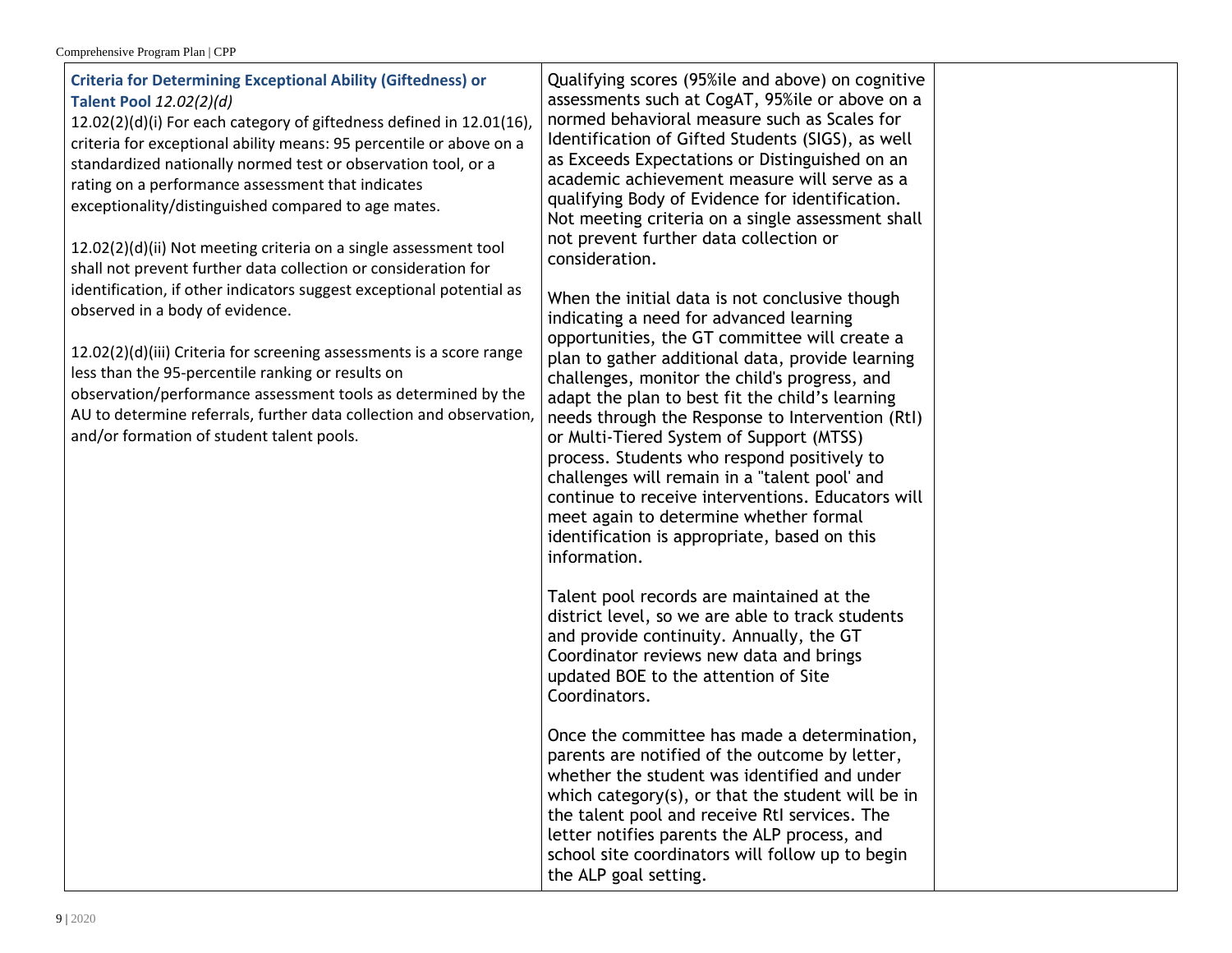| observation/performance assessment tools as determined by the<br>adapt the plan to best fit the child's learning<br>AU to determine referrals, further data collection and observation,<br>needs through the Response to Intervention (RtI)<br>and/or formation of student talent pools.<br>or Multi-Tiered System of Support (MTSS)<br>process. Students who respond positively to<br>challenges will remain in a "talent pool' and<br>continue to receive interventions. Educators will<br>meet again to determine whether formal<br>identification is appropriate, based on this<br>information.<br>Talent pool records are maintained at the<br>district level, so we are able to track students<br>and provide continuity. Annually, the GT<br>Coordinator reviews new data and brings<br>updated BOE to the attention of Site<br>Coordinators.<br>Once the committee has made a determination,<br>parents are notified of the outcome by letter,<br>whether the student was identified and under<br>which category $(s)$ , or that the student will be in<br>the talent pool and receive RtI services. The<br>letter notifies parents the ALP process, and<br>school site coordinators will follow up to begin |
|----------------------------------------------------------------------------------------------------------------------------------------------------------------------------------------------------------------------------------------------------------------------------------------------------------------------------------------------------------------------------------------------------------------------------------------------------------------------------------------------------------------------------------------------------------------------------------------------------------------------------------------------------------------------------------------------------------------------------------------------------------------------------------------------------------------------------------------------------------------------------------------------------------------------------------------------------------------------------------------------------------------------------------------------------------------------------------------------------------------------------------------------------------------------------------------------------------------------|
|----------------------------------------------------------------------------------------------------------------------------------------------------------------------------------------------------------------------------------------------------------------------------------------------------------------------------------------------------------------------------------------------------------------------------------------------------------------------------------------------------------------------------------------------------------------------------------------------------------------------------------------------------------------------------------------------------------------------------------------------------------------------------------------------------------------------------------------------------------------------------------------------------------------------------------------------------------------------------------------------------------------------------------------------------------------------------------------------------------------------------------------------------------------------------------------------------------------------|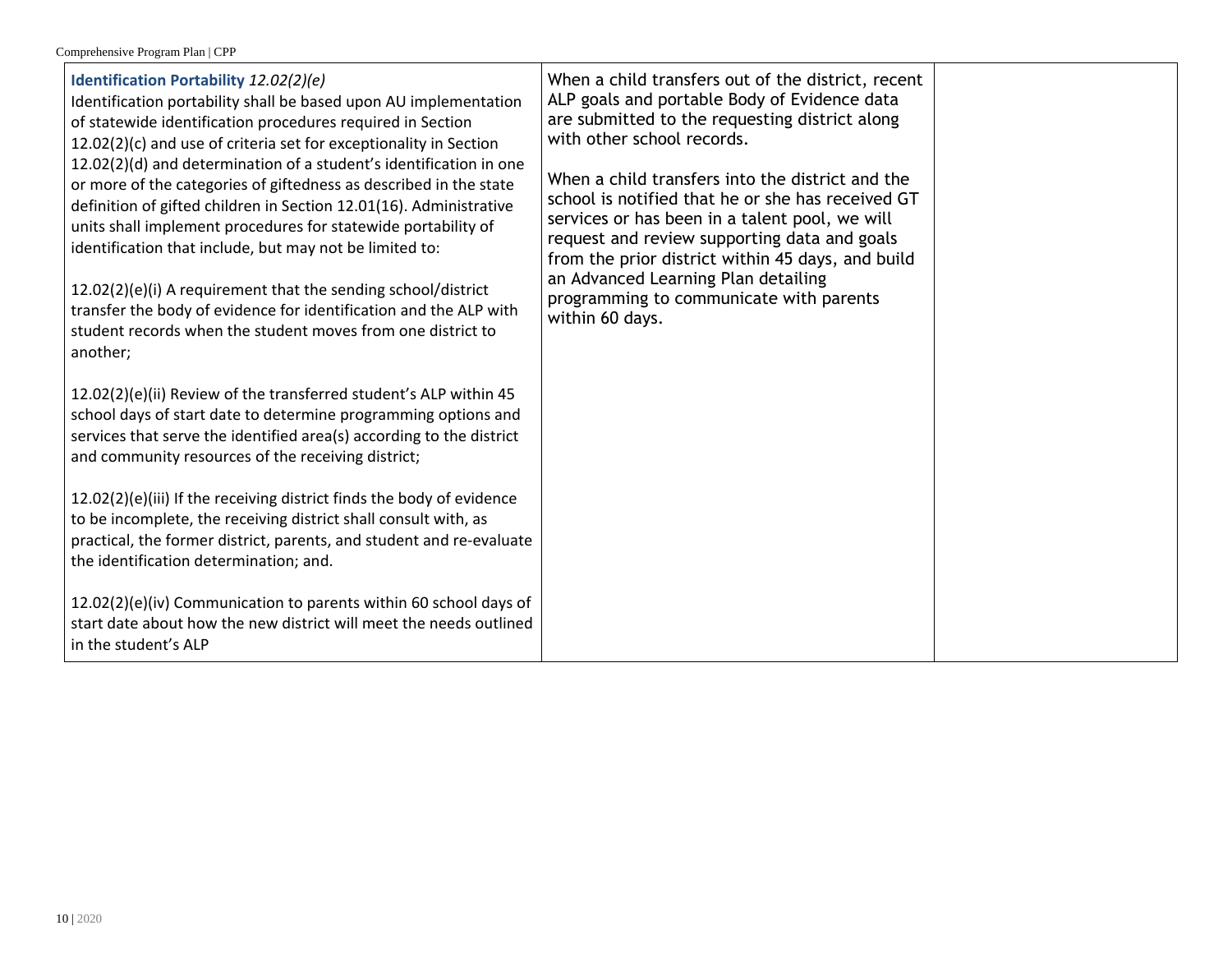| Identification Portability 12.02(2)(e)<br>Identification portability shall be based upon AU implementation<br>of statewide identification procedures required in Section<br>12.02(2)(c) and use of criteria set for exceptionality in Section<br>12.02(2)(d) and determination of a student's identification in one<br>or more of the categories of giftedness as described in the state<br>definition of gifted children in Section 12.01(16). Administrative<br>units shall implement procedures for statewide portability of<br>identification that include, but may not be limited to:<br>12.02(2)(e)(i) A requirement that the sending school/district<br>transfer the body of evidence for identification and the ALP with<br>student records when the student moves from one district to<br>another; | When a child transfers out of the district, recent<br>ALP goals and portable Body of Evidence data<br>are submitted to the requesting district along<br>with other school records.<br>When a child transfers into the district and the<br>school is notified that he or she has received GT<br>services or has been in a talent pool, we will<br>request and review supporting data and goals<br>from the prior district within 45 days, and build<br>an Advanced Learning Plan detailing<br>programming to communicate with parents<br>within 60 days. |  |
|-------------------------------------------------------------------------------------------------------------------------------------------------------------------------------------------------------------------------------------------------------------------------------------------------------------------------------------------------------------------------------------------------------------------------------------------------------------------------------------------------------------------------------------------------------------------------------------------------------------------------------------------------------------------------------------------------------------------------------------------------------------------------------------------------------------|---------------------------------------------------------------------------------------------------------------------------------------------------------------------------------------------------------------------------------------------------------------------------------------------------------------------------------------------------------------------------------------------------------------------------------------------------------------------------------------------------------------------------------------------------------|--|
| 12.02(2)(e)(ii) Review of the transferred student's ALP within 45<br>school days of start date to determine programming options and<br>services that serve the identified area(s) according to the district<br>and community resources of the receiving district;                                                                                                                                                                                                                                                                                                                                                                                                                                                                                                                                           |                                                                                                                                                                                                                                                                                                                                                                                                                                                                                                                                                         |  |
| 12.02(2)(e)(iii) If the receiving district finds the body of evidence<br>to be incomplete, the receiving district shall consult with, as<br>practical, the former district, parents, and student and re-evaluate<br>the identification determination; and.                                                                                                                                                                                                                                                                                                                                                                                                                                                                                                                                                  |                                                                                                                                                                                                                                                                                                                                                                                                                                                                                                                                                         |  |
| 12.02(2)(e)(iv) Communication to parents within 60 school days of<br>start date about how the new district will meet the needs outlined<br>in the student's ALP                                                                                                                                                                                                                                                                                                                                                                                                                                                                                                                                                                                                                                             |                                                                                                                                                                                                                                                                                                                                                                                                                                                                                                                                                         |  |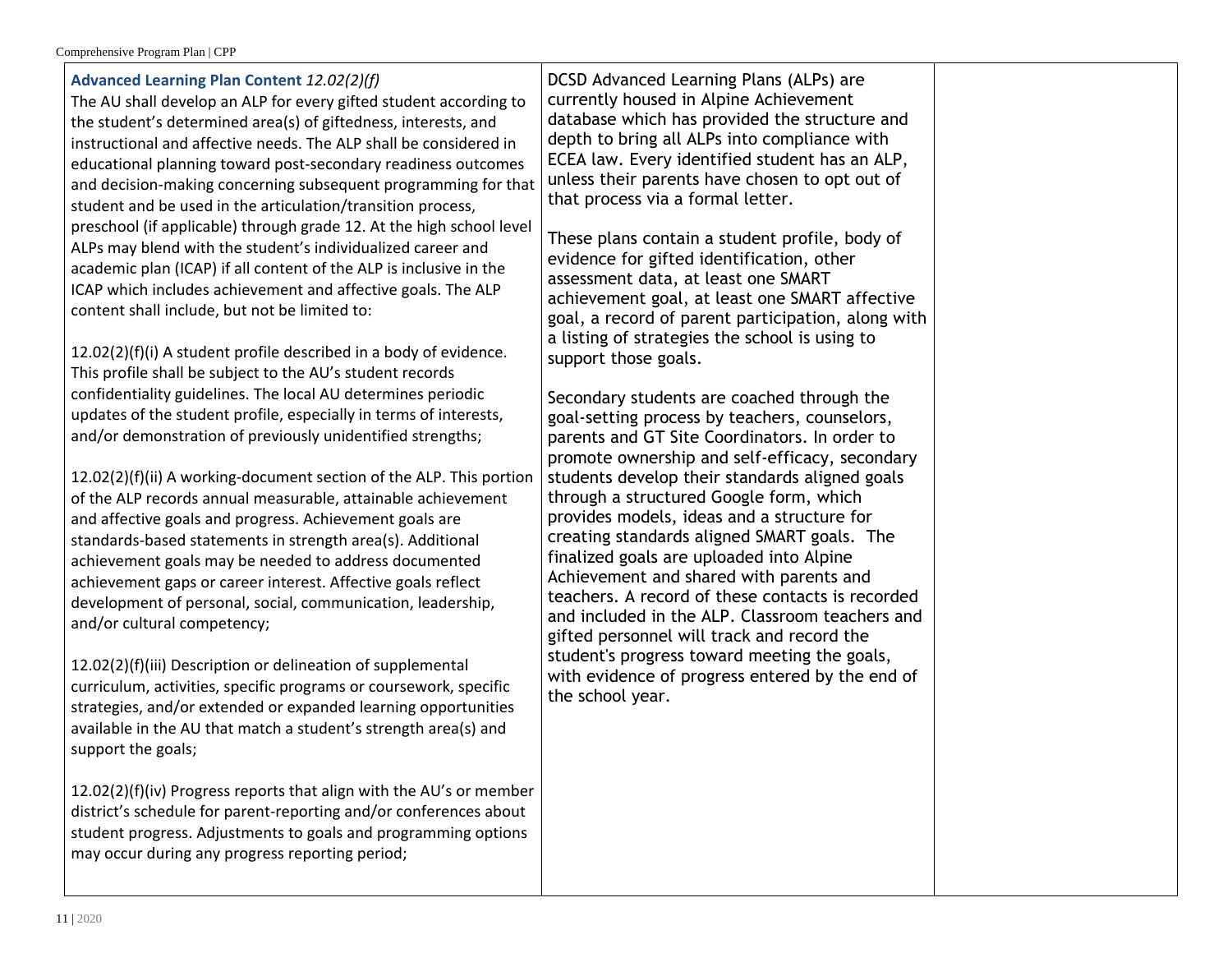| Advanced Learning Plan Content 12.02(2)(f)<br>The AU shall develop an ALP for every gifted student according to<br>the student's determined area(s) of giftedness, interests, and<br>instructional and affective needs. The ALP shall be considered in<br>educational planning toward post-secondary readiness outcomes<br>and decision-making concerning subsequent programming for that<br>student and be used in the articulation/transition process,<br>preschool (if applicable) through grade 12. At the high school level<br>ALPs may blend with the student's individualized career and<br>academic plan (ICAP) if all content of the ALP is inclusive in the<br>ICAP which includes achievement and affective goals. The ALP<br>content shall include, but not be limited to:<br>12.02(2)(f)(i) A student profile described in a body of evidence. | DCSD Advanced Learning Plans (ALPs) are<br>currently housed in Alpine Achievement<br>database which has provided the structure and<br>depth to bring all ALPs into compliance with<br>ECEA law. Every identified student has an ALP,<br>unless their parents have chosen to opt out of<br>that process via a formal letter.<br>These plans contain a student profile, body of<br>evidence for gifted identification, other<br>assessment data, at least one SMART<br>achievement goal, at least one SMART affective<br>goal, a record of parent participation, along with<br>a listing of strategies the school is using to<br>support those goals.                                  |  |
|-------------------------------------------------------------------------------------------------------------------------------------------------------------------------------------------------------------------------------------------------------------------------------------------------------------------------------------------------------------------------------------------------------------------------------------------------------------------------------------------------------------------------------------------------------------------------------------------------------------------------------------------------------------------------------------------------------------------------------------------------------------------------------------------------------------------------------------------------------------|--------------------------------------------------------------------------------------------------------------------------------------------------------------------------------------------------------------------------------------------------------------------------------------------------------------------------------------------------------------------------------------------------------------------------------------------------------------------------------------------------------------------------------------------------------------------------------------------------------------------------------------------------------------------------------------|--|
| This profile shall be subject to the AU's student records<br>confidentiality guidelines. The local AU determines periodic<br>updates of the student profile, especially in terms of interests,<br>and/or demonstration of previously unidentified strengths;<br>12.02(2)(f)(ii) A working-document section of the ALP. This portion<br>of the ALP records annual measurable, attainable achievement<br>and affective goals and progress. Achievement goals are<br>standards-based statements in strength area(s). Additional<br>achievement goals may be needed to address documented<br>achievement gaps or career interest. Affective goals reflect<br>development of personal, social, communication, leadership,<br>and/or cultural competency;                                                                                                         | Secondary students are coached through the<br>goal-setting process by teachers, counselors,<br>parents and GT Site Coordinators. In order to<br>promote ownership and self-efficacy, secondary<br>students develop their standards aligned goals<br>through a structured Google form, which<br>provides models, ideas and a structure for<br>creating standards aligned SMART goals. The<br>finalized goals are uploaded into Alpine<br>Achievement and shared with parents and<br>teachers. A record of these contacts is recorded<br>and included in the ALP. Classroom teachers and<br>gifted personnel will track and record the<br>student's progress toward meeting the goals, |  |
| 12.02(2)(f)(iii) Description or delineation of supplemental<br>curriculum, activities, specific programs or coursework, specific<br>strategies, and/or extended or expanded learning opportunities<br>available in the AU that match a student's strength area(s) and<br>support the goals;<br>12.02(2)(f)(iv) Progress reports that align with the AU's or member<br>district's schedule for parent-reporting and/or conferences about<br>student progress. Adjustments to goals and programming options<br>may occur during any progress reporting period;                                                                                                                                                                                                                                                                                                | with evidence of progress entered by the end of<br>the school year.                                                                                                                                                                                                                                                                                                                                                                                                                                                                                                                                                                                                                  |  |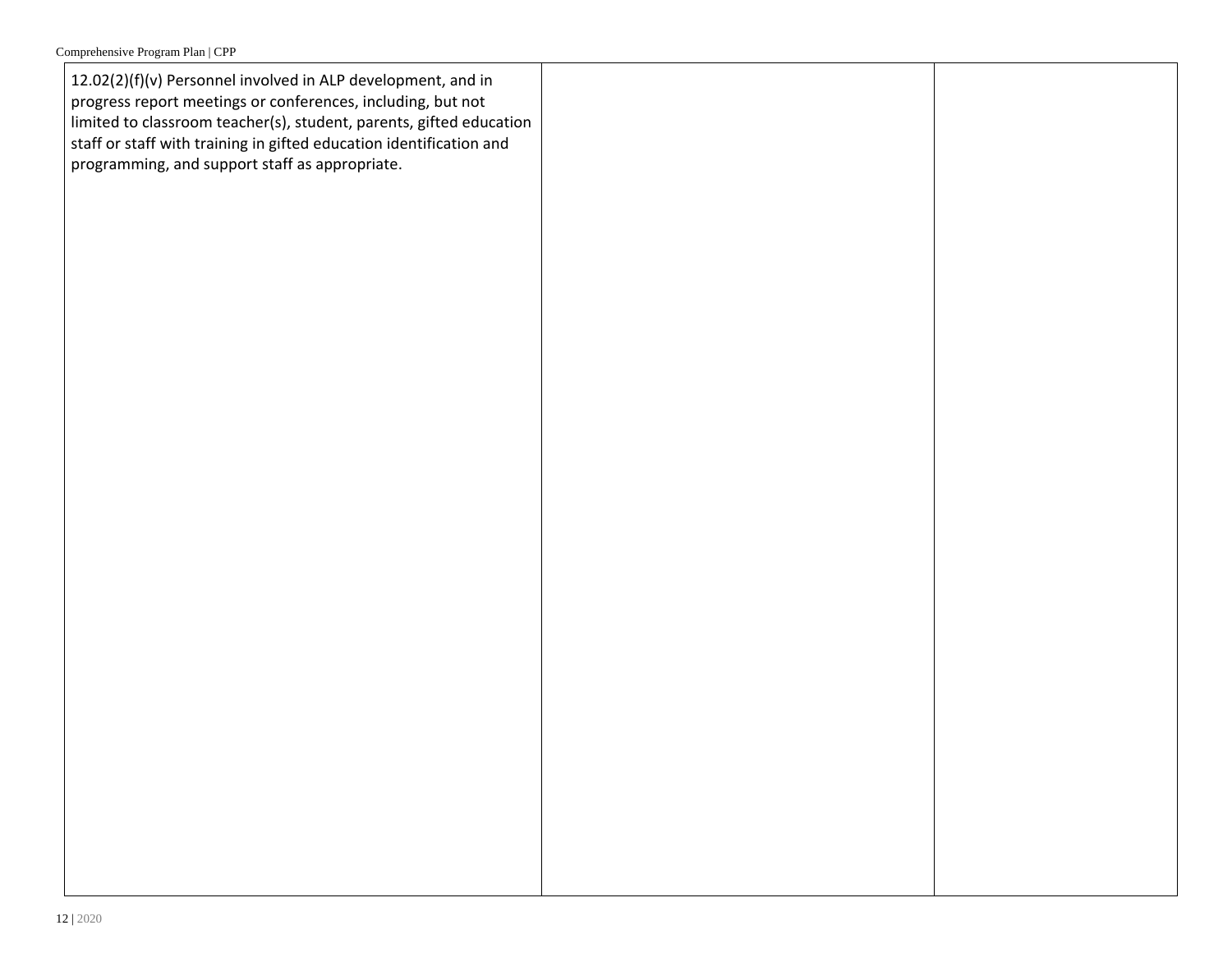12.02(2)(f)(v) Personnel involved in ALP development, and in progress report meetings or conferences, including, but not limited to classroom teacher(s), student, parents, gifted education staff or staff with training in gifted education identification and programming, and support staff as appropriate.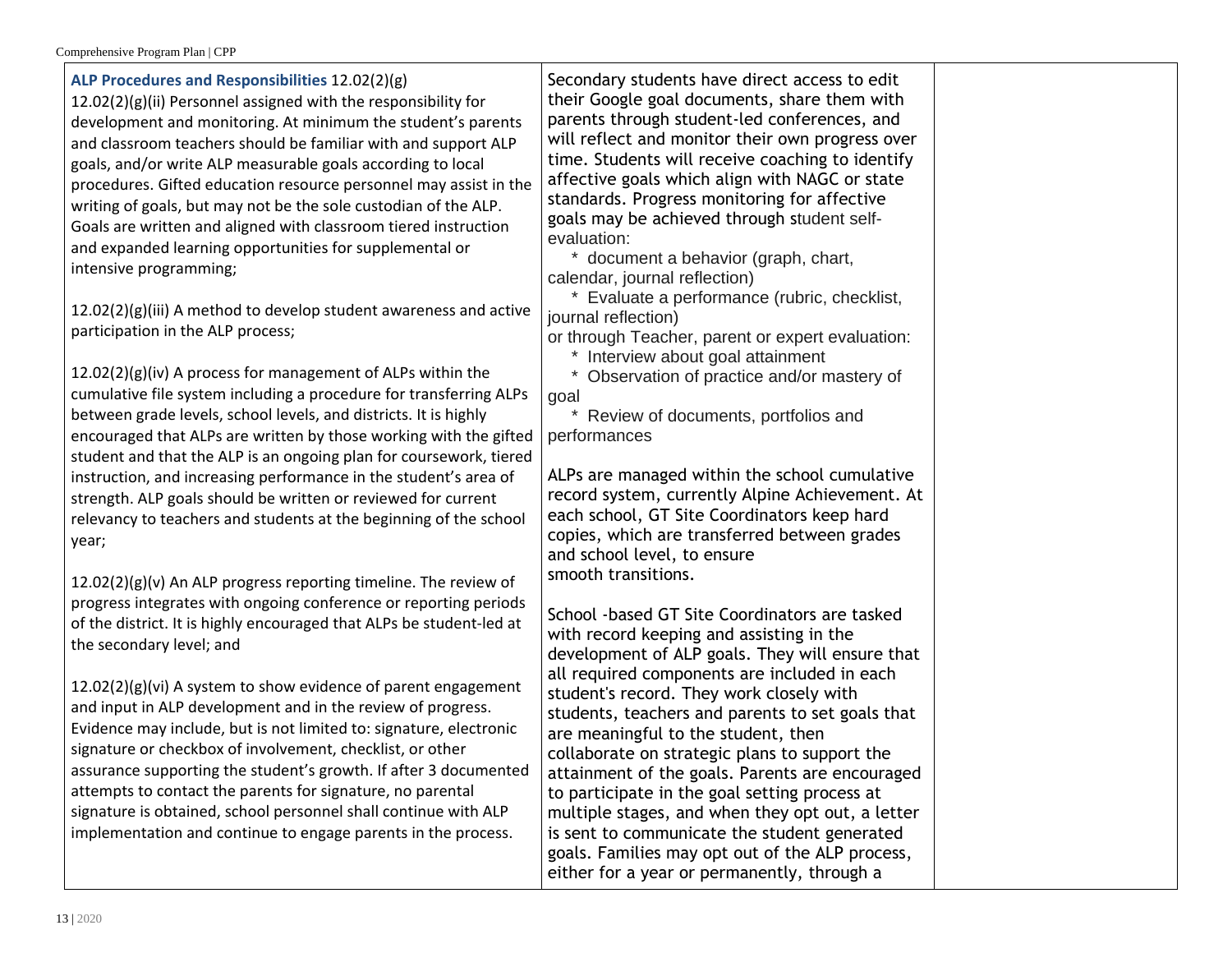**ALP Procedures and Responsibilities** 12.02(2)(g) 12.02(2)(g)(ii) Personnel assigned with the responsibility for development and monitoring. At minimum the student's parents and classroom teachers should be familiar with and support ALP goals, and/or write ALP measurable goals according to local procedures. Gifted education resource personnel may assist in the writing of goals, but may not be the sole custodian of the ALP. Goals are written and aligned with classroom tiered instruction and expanded learning opportunities for supplemental or intensive programming; 12.02(2)(g)(iii) A method to develop student awareness and active participation in the ALP process; 12.02(2)(g)(iv) A process for management of ALPs within the cumulative file system including a procedure for transferring ALPs between grade levels, school levels, and districts. It is highly encouraged that ALPs are written by those working with the gifted student and that the ALP is an ongoing plan for coursework, tiered instruction, and increasing performance in the student's area of strength. ALP goals should be written or reviewed for current relevancy to teachers and students at the beginning of the school year;  $12.02(2)(g)(v)$  An ALP progress reporting timeline. The review of progress integrates with ongoing conference or reporting periods of the district. It is highly encouraged that ALPs be student-led at the secondary level; and 12.02(2)(g)(vi) A system to show evidence of parent engagement and input in ALP development and in the review of progress. Evidence may include, but is not limited to: signature, electronic evaluation: journal reflection) goal performances smooth transitions.

signature or checkbox of involvement, checklist, or other assurance supporting the student's growth. If after 3 documented attempts to contact the parents for signature, no parental signature is obtained, school personnel shall continue with ALP implementation and continue to engage parents in the process.

Secondary students have direct access to edit their Google goal documents, share them with parents through student-led conferences, and will reflect and monitor their own progress over time. Students will receive coaching to identify affective goals which align with NAGC or state standards. Progress monitoring for affective goals may be achieved through student self-

\* document a behavior (graph, chart, calendar, journal reflection)

\* Evaluate a performance (rubric, checklist,

or through Teacher, parent or expert evaluation:

\* Interview about goal attainment

\* Observation of practice and/or mastery of

\* Review of documents, portfolios and

ALPs are managed within the school cumulative record system, currently Alpine Achievement. At each school, GT Site Coordinators keep hard copies, which are transferred between grades and school level, to ensure

School -based GT Site Coordinators are tasked with record keeping and assisting in the development of ALP goals. They will ensure that all required components are included in each student's record. They work closely with students, teachers and parents to set goals that are meaningful to the student, then collaborate on strategic plans to support the attainment of the goals. Parents are encouraged to participate in the goal setting process at multiple stages, and when they opt out, a letter is sent to communicate the student generated goals. Families may opt out of the ALP process, either for a year or permanently, through a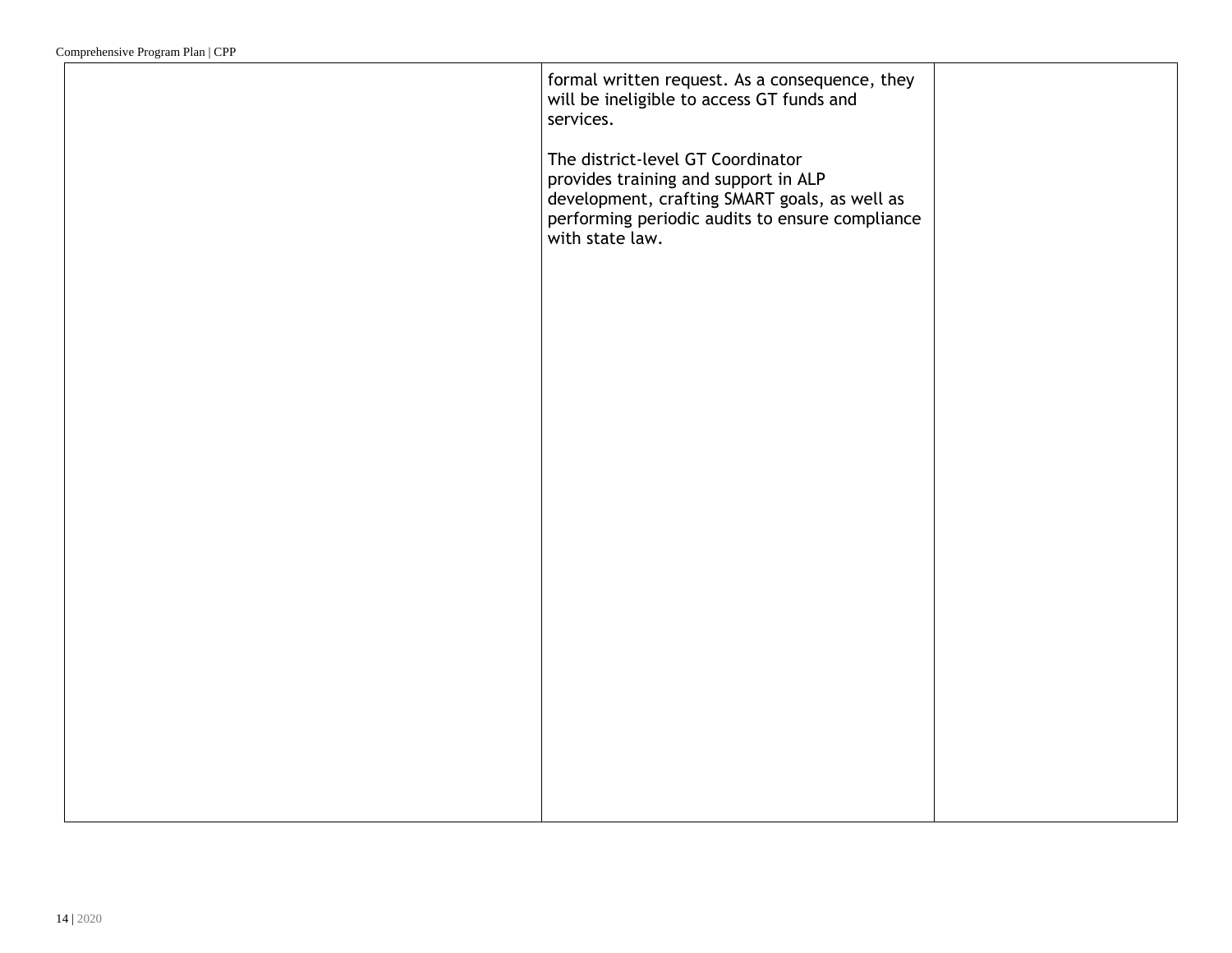| formal written request. As a consequence, they<br>will be ineligible to access GT funds and<br>services.                                                                                         |  |
|--------------------------------------------------------------------------------------------------------------------------------------------------------------------------------------------------|--|
| The district-level GT Coordinator<br>provides training and support in ALP<br>development, crafting SMART goals, as well as<br>performing periodic audits to ensure compliance<br>with state law. |  |
|                                                                                                                                                                                                  |  |
|                                                                                                                                                                                                  |  |
|                                                                                                                                                                                                  |  |
|                                                                                                                                                                                                  |  |
|                                                                                                                                                                                                  |  |
|                                                                                                                                                                                                  |  |
|                                                                                                                                                                                                  |  |
|                                                                                                                                                                                                  |  |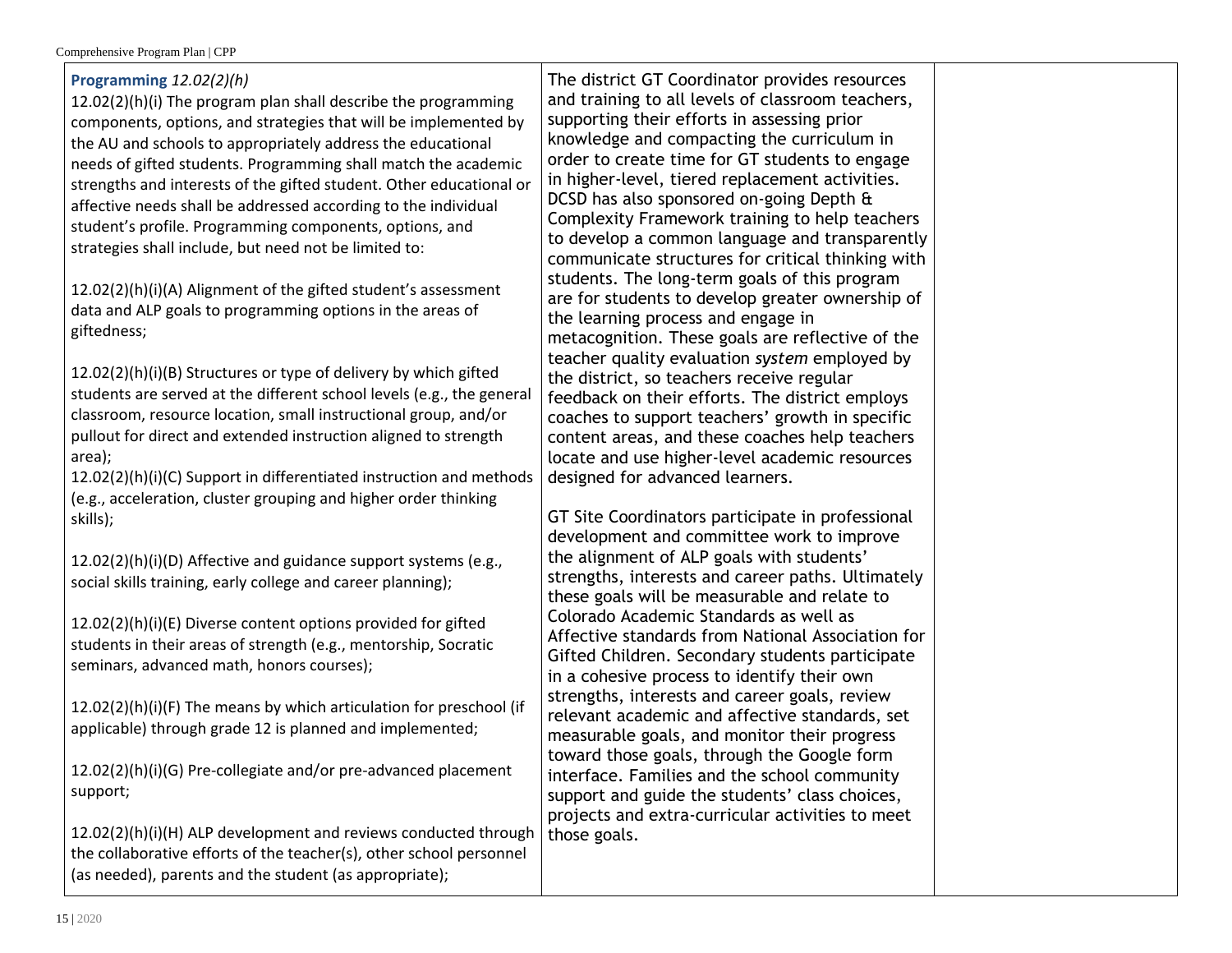| Programming 12.02(2)(h)<br>12.02(2)(h)(i) The program plan shall describe the programming<br>components, options, and strategies that will be implemented by<br>the AU and schools to appropriately address the educational<br>needs of gifted students. Programming shall match the academic<br>strengths and interests of the gifted student. Other educational or<br>affective needs shall be addressed according to the individual<br>student's profile. Programming components, options, and<br>strategies shall include, but need not be limited to:<br>12.02(2)(h)(i)(A) Alignment of the gifted student's assessment<br>data and ALP goals to programming options in the areas of<br>giftedness;<br>12.02(2)(h)(i)(B) Structures or type of delivery by which gifted<br>students are served at the different school levels (e.g., the general<br>classroom, resource location, small instructional group, and/or<br>pullout for direct and extended instruction aligned to strength<br>area);<br>12.02(2)(h)(i)(C) Support in differentiated instruction and methods<br>(e.g., acceleration, cluster grouping and higher order thinking<br>skills); | The district GT Coordinator provides resources<br>and training to all levels of classroom teachers,<br>supporting their efforts in assessing prior<br>knowledge and compacting the curriculum in<br>order to create time for GT students to engage<br>in higher-level, tiered replacement activities.<br>DCSD has also sponsored on-going Depth &<br>Complexity Framework training to help teachers<br>to develop a common language and transparently<br>communicate structures for critical thinking with<br>students. The long-term goals of this program<br>are for students to develop greater ownership of<br>the learning process and engage in<br>metacognition. These goals are reflective of the<br>teacher quality evaluation system employed by<br>the district, so teachers receive regular<br>feedback on their efforts. The district employs<br>coaches to support teachers' growth in specific<br>content areas, and these coaches help teachers<br>locate and use higher-level academic resources<br>designed for advanced learners.<br>GT Site Coordinators participate in professional<br>development and committee work to improve |  |
|-------------------------------------------------------------------------------------------------------------------------------------------------------------------------------------------------------------------------------------------------------------------------------------------------------------------------------------------------------------------------------------------------------------------------------------------------------------------------------------------------------------------------------------------------------------------------------------------------------------------------------------------------------------------------------------------------------------------------------------------------------------------------------------------------------------------------------------------------------------------------------------------------------------------------------------------------------------------------------------------------------------------------------------------------------------------------------------------------------------------------------------------------------------|-------------------------------------------------------------------------------------------------------------------------------------------------------------------------------------------------------------------------------------------------------------------------------------------------------------------------------------------------------------------------------------------------------------------------------------------------------------------------------------------------------------------------------------------------------------------------------------------------------------------------------------------------------------------------------------------------------------------------------------------------------------------------------------------------------------------------------------------------------------------------------------------------------------------------------------------------------------------------------------------------------------------------------------------------------------------------------------------------------------------------------------------------------|--|
| 12.02(2)(h)(i)(D) Affective and guidance support systems (e.g.,<br>social skills training, early college and career planning);                                                                                                                                                                                                                                                                                                                                                                                                                                                                                                                                                                                                                                                                                                                                                                                                                                                                                                                                                                                                                              | the alignment of ALP goals with students'<br>strengths, interests and career paths. Ultimately<br>these goals will be measurable and relate to                                                                                                                                                                                                                                                                                                                                                                                                                                                                                                                                                                                                                                                                                                                                                                                                                                                                                                                                                                                                        |  |
| 12.02(2)(h)(i)(E) Diverse content options provided for gifted<br>students in their areas of strength (e.g., mentorship, Socratic<br>seminars, advanced math, honors courses);                                                                                                                                                                                                                                                                                                                                                                                                                                                                                                                                                                                                                                                                                                                                                                                                                                                                                                                                                                               | Colorado Academic Standards as well as<br>Affective standards from National Association for<br>Gifted Children. Secondary students participate<br>in a cohesive process to identify their own                                                                                                                                                                                                                                                                                                                                                                                                                                                                                                                                                                                                                                                                                                                                                                                                                                                                                                                                                         |  |
| 12.02(2)(h)(i)(F) The means by which articulation for preschool (if<br>applicable) through grade 12 is planned and implemented;                                                                                                                                                                                                                                                                                                                                                                                                                                                                                                                                                                                                                                                                                                                                                                                                                                                                                                                                                                                                                             | strengths, interests and career goals, review<br>relevant academic and affective standards, set<br>measurable goals, and monitor their progress                                                                                                                                                                                                                                                                                                                                                                                                                                                                                                                                                                                                                                                                                                                                                                                                                                                                                                                                                                                                       |  |
| 12.02(2)(h)(i)(G) Pre-collegiate and/or pre-advanced placement<br>support;                                                                                                                                                                                                                                                                                                                                                                                                                                                                                                                                                                                                                                                                                                                                                                                                                                                                                                                                                                                                                                                                                  | toward those goals, through the Google form<br>interface. Families and the school community<br>support and guide the students' class choices,<br>projects and extra-curricular activities to meet                                                                                                                                                                                                                                                                                                                                                                                                                                                                                                                                                                                                                                                                                                                                                                                                                                                                                                                                                     |  |
| 12.02(2)(h)(i)(H) ALP development and reviews conducted through<br>the collaborative efforts of the teacher(s), other school personnel<br>(as needed), parents and the student (as appropriate);                                                                                                                                                                                                                                                                                                                                                                                                                                                                                                                                                                                                                                                                                                                                                                                                                                                                                                                                                            | those goals.                                                                                                                                                                                                                                                                                                                                                                                                                                                                                                                                                                                                                                                                                                                                                                                                                                                                                                                                                                                                                                                                                                                                          |  |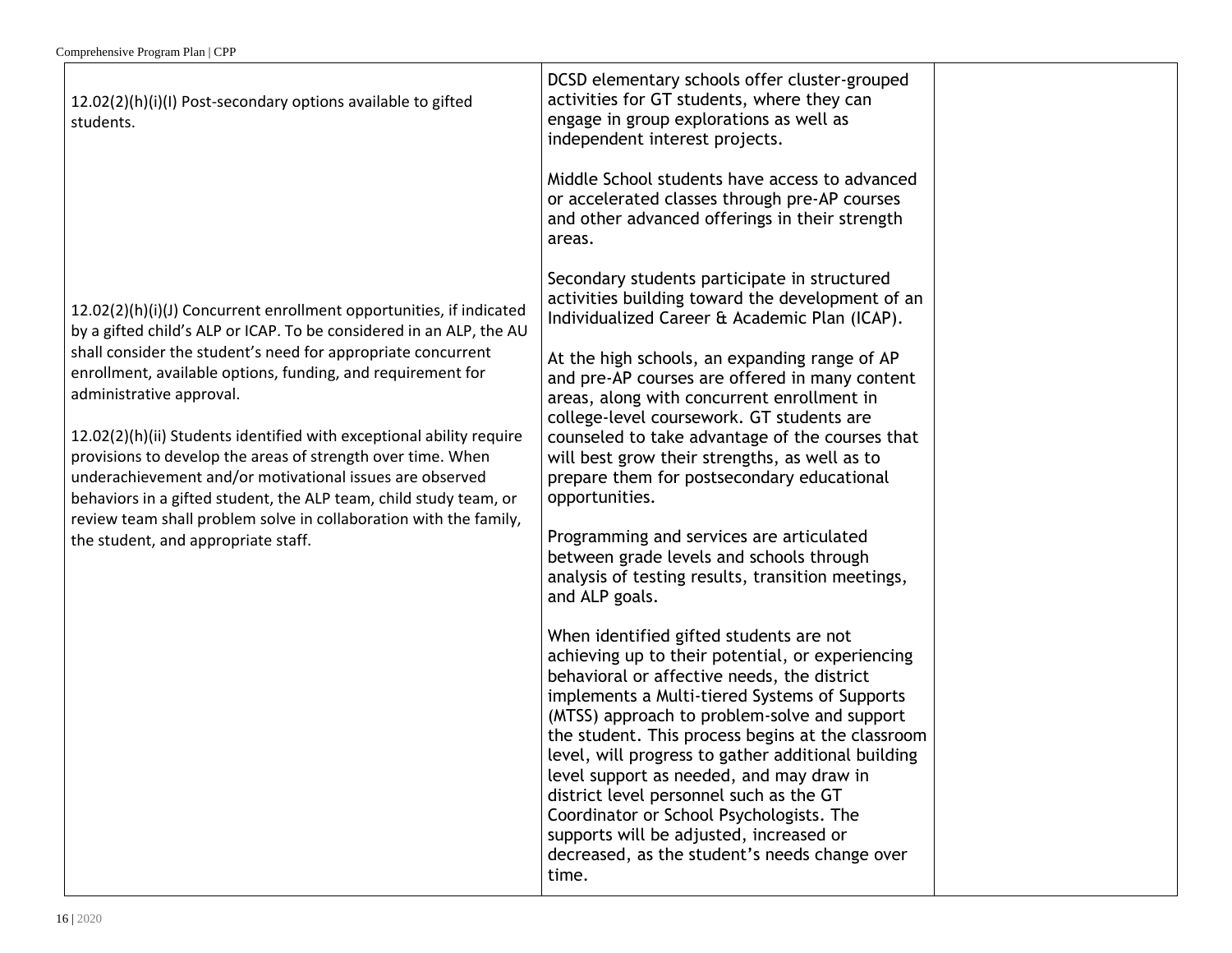12.02(2)(h)(i)(I) Post-secondary options available to gifted students.

12.02(2)(h)(i)(J) Concurrent enrollment opportunities, if indicated by a gifted child's ALP or ICAP. To be considered in an ALP, the AU shall consider the student's need for appropriate concurrent enrollment, available options, funding, and requirement for administrative approval.

12.02(2)(h)(ii) Students identified with exceptional ability require provisions to develop the areas of strength over time. When underachievement and/or motivational issues are observed behaviors in a gifted student, the ALP team, child study team, or review team shall problem solve in collaboration with the family, the student, and appropriate staff.

independent interest projects. Middle School students have access to advanced or accelerated classes through pre-AP courses and other advanced offerings in their strength areas.

DCSD elementary schools offer cluster-grouped activities for GT students, where they can engage in group explorations as well as

Secondary students participate in structured activities building toward the development of an Individualized Career & Academic Plan (ICAP).

At the high schools, an expanding range of AP and pre-AP courses are offered in many content areas, along with concurrent enrollment in college-level coursework. GT students are counseled to take advantage of the courses that will best grow their strengths, as well as to prepare them for postsecondary educational opportunities.

Programming and services are articulated between grade levels and schools through analysis of testing results, transition meetings, and ALP goals.

When identified gifted students are not achieving up to their potential, or experiencing behavioral or affective needs, the district implements a Multi-tiered Systems of Supports (MTSS) approach to problem-solve and support the student. This process begins at the classroom level, will progress to gather additional building level support as needed, and may draw in district level personnel such as the GT Coordinator or School Psychologists. The supports will be adjusted, increased or decreased, as the student's needs change over time.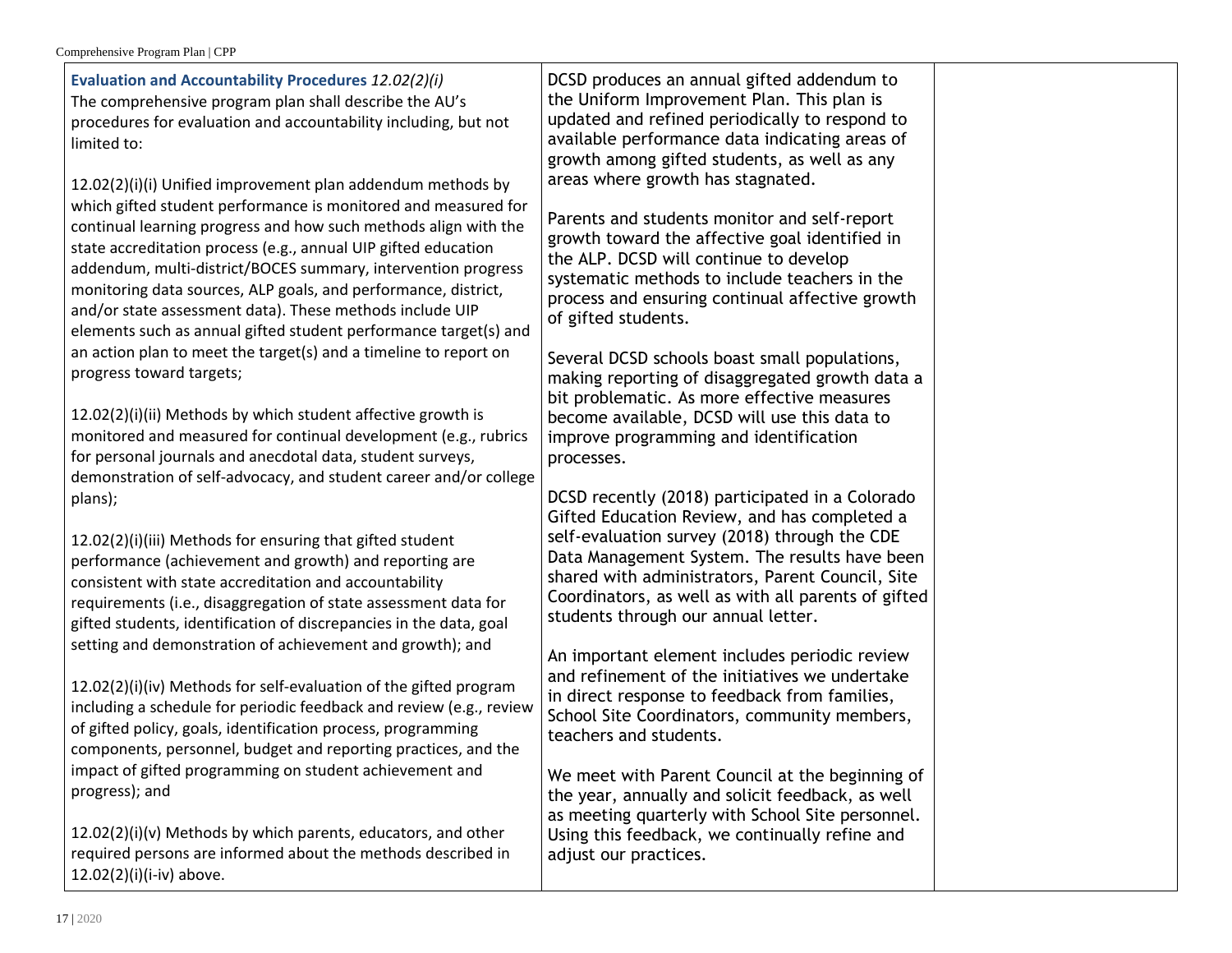| <b>Evaluation and Accountability Procedures 12.02(2)(i)</b><br>The comprehensive program plan shall describe the AU's<br>procedures for evaluation and accountability including, but not<br>limited to:<br>12.02(2)(i)(i) Unified improvement plan addendum methods by                                                                                                                                                                                                 | DCSD produces an annual gifted addendum to<br>the Uniform Improvement Plan. This plan is<br>updated and refined periodically to respond to<br>available performance data indicating areas of<br>growth among gifted students, as well as any<br>areas where growth has stagnated.                |  |
|------------------------------------------------------------------------------------------------------------------------------------------------------------------------------------------------------------------------------------------------------------------------------------------------------------------------------------------------------------------------------------------------------------------------------------------------------------------------|--------------------------------------------------------------------------------------------------------------------------------------------------------------------------------------------------------------------------------------------------------------------------------------------------|--|
| which gifted student performance is monitored and measured for<br>continual learning progress and how such methods align with the<br>state accreditation process (e.g., annual UIP gifted education<br>addendum, multi-district/BOCES summary, intervention progress<br>monitoring data sources, ALP goals, and performance, district,<br>and/or state assessment data). These methods include UIP<br>elements such as annual gifted student performance target(s) and | Parents and students monitor and self-report<br>growth toward the affective goal identified in<br>the ALP. DCSD will continue to develop<br>systematic methods to include teachers in the<br>process and ensuring continual affective growth<br>of gifted students.                              |  |
| an action plan to meet the target(s) and a timeline to report on<br>progress toward targets;<br>12.02(2)(i)(ii) Methods by which student affective growth is                                                                                                                                                                                                                                                                                                           | Several DCSD schools boast small populations,<br>making reporting of disaggregated growth data a<br>bit problematic. As more effective measures<br>become available, DCSD will use this data to                                                                                                  |  |
| monitored and measured for continual development (e.g., rubrics<br>for personal journals and anecdotal data, student surveys,<br>demonstration of self-advocacy, and student career and/or college<br>plans);                                                                                                                                                                                                                                                          | improve programming and identification<br>processes.<br>DCSD recently (2018) participated in a Colorado                                                                                                                                                                                          |  |
| 12.02(2)(i)(iii) Methods for ensuring that gifted student<br>performance (achievement and growth) and reporting are<br>consistent with state accreditation and accountability<br>requirements (i.e., disaggregation of state assessment data for<br>gifted students, identification of discrepancies in the data, goal                                                                                                                                                 | Gifted Education Review, and has completed a<br>self-evaluation survey (2018) through the CDE<br>Data Management System. The results have been<br>shared with administrators, Parent Council, Site<br>Coordinators, as well as with all parents of gifted<br>students through our annual letter. |  |
| setting and demonstration of achievement and growth); and<br>12.02(2)(i)(iv) Methods for self-evaluation of the gifted program<br>including a schedule for periodic feedback and review (e.g., review<br>of gifted policy, goals, identification process, programming<br>components, personnel, budget and reporting practices, and the                                                                                                                                | An important element includes periodic review<br>and refinement of the initiatives we undertake<br>in direct response to feedback from families,<br>School Site Coordinators, community members,<br>teachers and students.                                                                       |  |
| impact of gifted programming on student achievement and<br>progress); and<br>12.02(2)(i)(v) Methods by which parents, educators, and other<br>required persons are informed about the methods described in<br>12.02(2)(i)(i-iv) above.                                                                                                                                                                                                                                 | We meet with Parent Council at the beginning of<br>the year, annually and solicit feedback, as well<br>as meeting quarterly with School Site personnel.<br>Using this feedback, we continually refine and<br>adjust our practices.                                                               |  |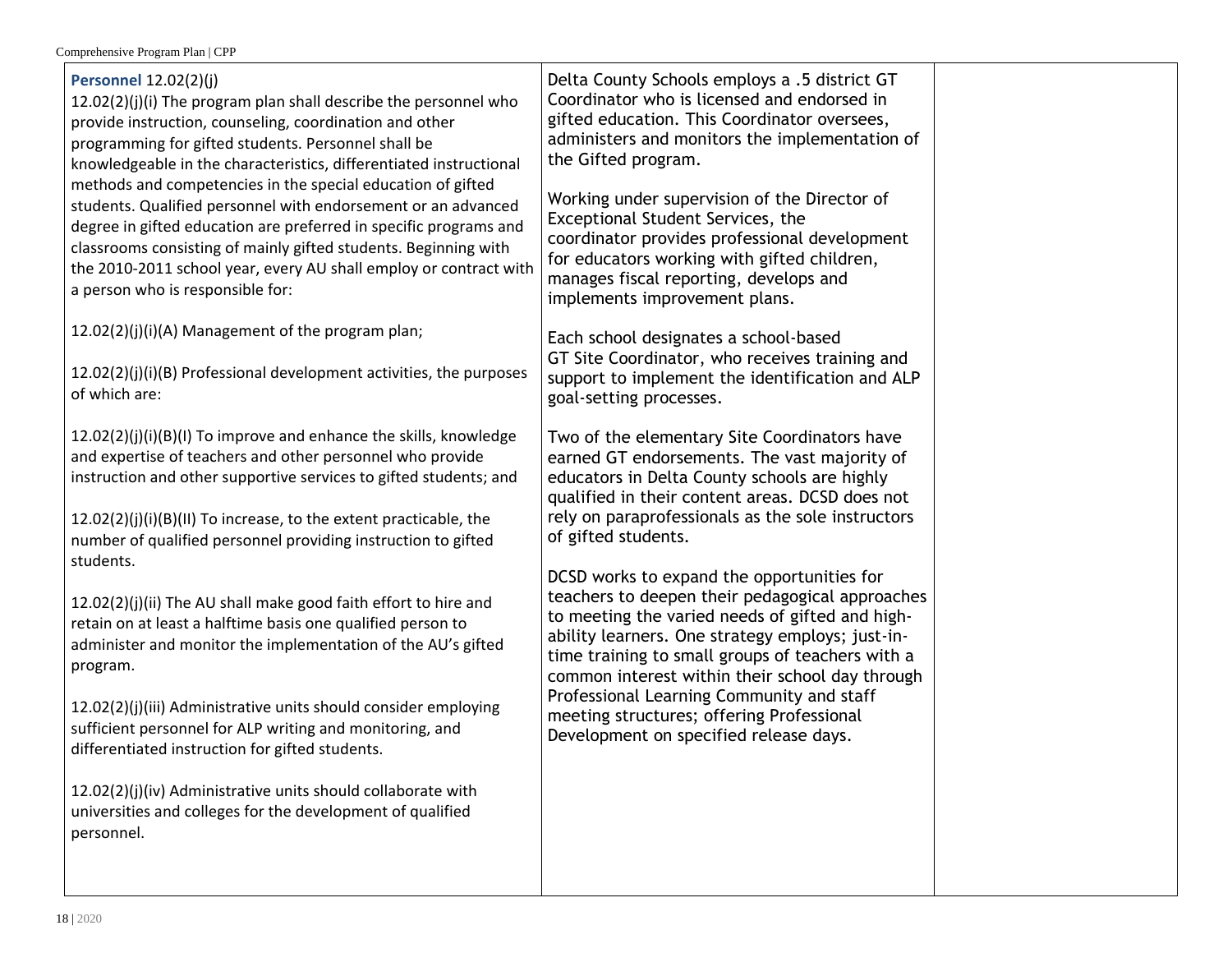| <b>Personnel 12.02(2)(j)</b><br>12.02(2)(j)(i) The program plan shall describe the personnel who<br>provide instruction, counseling, coordination and other<br>programming for gifted students. Personnel shall be<br>knowledgeable in the characteristics, differentiated instructional<br>methods and competencies in the special education of gifted<br>students. Qualified personnel with endorsement or an advanced<br>degree in gifted education are preferred in specific programs and<br>classrooms consisting of mainly gifted students. Beginning with<br>the 2010-2011 school year, every AU shall employ or contract with<br>a person who is responsible for:<br>12.02(2)(j)(i)(A) Management of the program plan;<br>12.02(2)(j)(i)(B) Professional development activities, the purposes<br>of which are:<br>12.02(2)(j)(i)(B)(l) To improve and enhance the skills, knowledge<br>and expertise of teachers and other personnel who provide<br>instruction and other supportive services to gifted students; and<br>12.02(2)(j)(i)(B)(II) To increase, to the extent practicable, the | Delta County Schools employs a .5 district GT<br>Coordinator who is licensed and endorsed in<br>gifted education. This Coordinator oversees,<br>administers and monitors the implementation of<br>the Gifted program.<br>Working under supervision of the Director of<br>Exceptional Student Services, the<br>coordinator provides professional development<br>for educators working with gifted children,<br>manages fiscal reporting, develops and<br>implements improvement plans.<br>Each school designates a school-based<br>GT Site Coordinator, who receives training and<br>support to implement the identification and ALP<br>goal-setting processes.<br>Two of the elementary Site Coordinators have<br>earned GT endorsements. The vast majority of<br>educators in Delta County schools are highly<br>qualified in their content areas. DCSD does not<br>rely on paraprofessionals as the sole instructors<br>of gifted students. |  |
|----------------------------------------------------------------------------------------------------------------------------------------------------------------------------------------------------------------------------------------------------------------------------------------------------------------------------------------------------------------------------------------------------------------------------------------------------------------------------------------------------------------------------------------------------------------------------------------------------------------------------------------------------------------------------------------------------------------------------------------------------------------------------------------------------------------------------------------------------------------------------------------------------------------------------------------------------------------------------------------------------------------------------------------------------------------------------------------------------|-----------------------------------------------------------------------------------------------------------------------------------------------------------------------------------------------------------------------------------------------------------------------------------------------------------------------------------------------------------------------------------------------------------------------------------------------------------------------------------------------------------------------------------------------------------------------------------------------------------------------------------------------------------------------------------------------------------------------------------------------------------------------------------------------------------------------------------------------------------------------------------------------------------------------------------------------|--|
| number of qualified personnel providing instruction to gifted<br>students.<br>12.02(2)(j)(ii) The AU shall make good faith effort to hire and<br>retain on at least a halftime basis one qualified person to<br>administer and monitor the implementation of the AU's gifted<br>program.<br>12.02(2)(j)(iii) Administrative units should consider employing<br>sufficient personnel for ALP writing and monitoring, and<br>differentiated instruction for gifted students.<br>12.02(2)(j)(iv) Administrative units should collaborate with<br>universities and colleges for the development of qualified<br>personnel.                                                                                                                                                                                                                                                                                                                                                                                                                                                                             | DCSD works to expand the opportunities for<br>teachers to deepen their pedagogical approaches<br>to meeting the varied needs of gifted and high-<br>ability learners. One strategy employs; just-in-<br>time training to small groups of teachers with a<br>common interest within their school day through<br>Professional Learning Community and staff<br>meeting structures; offering Professional<br>Development on specified release days.                                                                                                                                                                                                                                                                                                                                                                                                                                                                                               |  |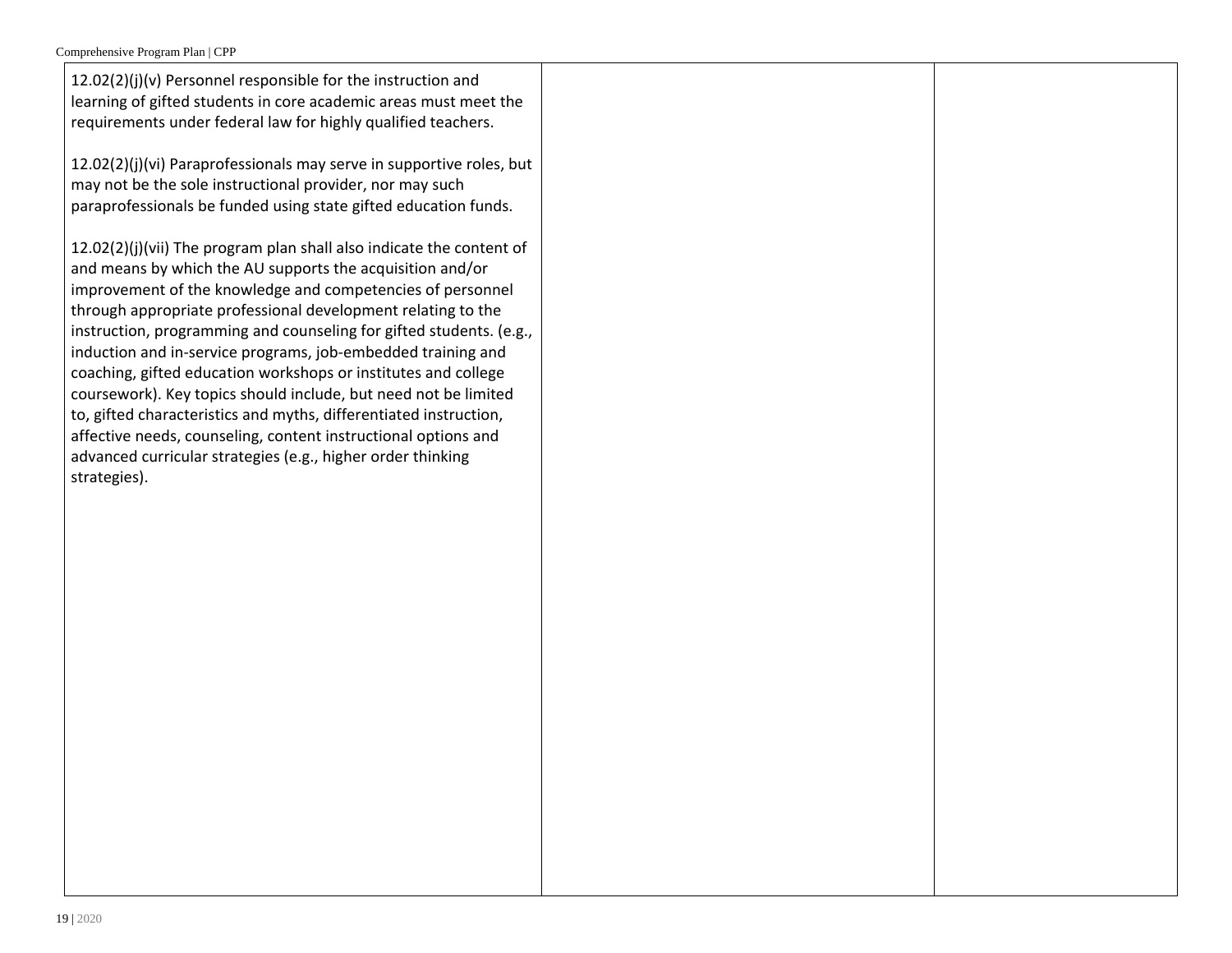| 12.02(2)(j)(v) Personnel responsible for the instruction and<br>learning of gifted students in core academic areas must meet the<br>requirements under federal law for highly qualified teachers.                                                                                                                                                                                                                                                                                                                                                                                                                                                                                                                                                                 |  |
|-------------------------------------------------------------------------------------------------------------------------------------------------------------------------------------------------------------------------------------------------------------------------------------------------------------------------------------------------------------------------------------------------------------------------------------------------------------------------------------------------------------------------------------------------------------------------------------------------------------------------------------------------------------------------------------------------------------------------------------------------------------------|--|
| 12.02(2)(j)(vi) Paraprofessionals may serve in supportive roles, but<br>may not be the sole instructional provider, nor may such<br>paraprofessionals be funded using state gifted education funds.                                                                                                                                                                                                                                                                                                                                                                                                                                                                                                                                                               |  |
| 12.02(2)(j)(vii) The program plan shall also indicate the content of<br>and means by which the AU supports the acquisition and/or<br>improvement of the knowledge and competencies of personnel<br>through appropriate professional development relating to the<br>instruction, programming and counseling for gifted students. (e.g.,<br>induction and in-service programs, job-embedded training and<br>coaching, gifted education workshops or institutes and college<br>coursework). Key topics should include, but need not be limited<br>to, gifted characteristics and myths, differentiated instruction,<br>affective needs, counseling, content instructional options and<br>advanced curricular strategies (e.g., higher order thinking<br>strategies). |  |
|                                                                                                                                                                                                                                                                                                                                                                                                                                                                                                                                                                                                                                                                                                                                                                   |  |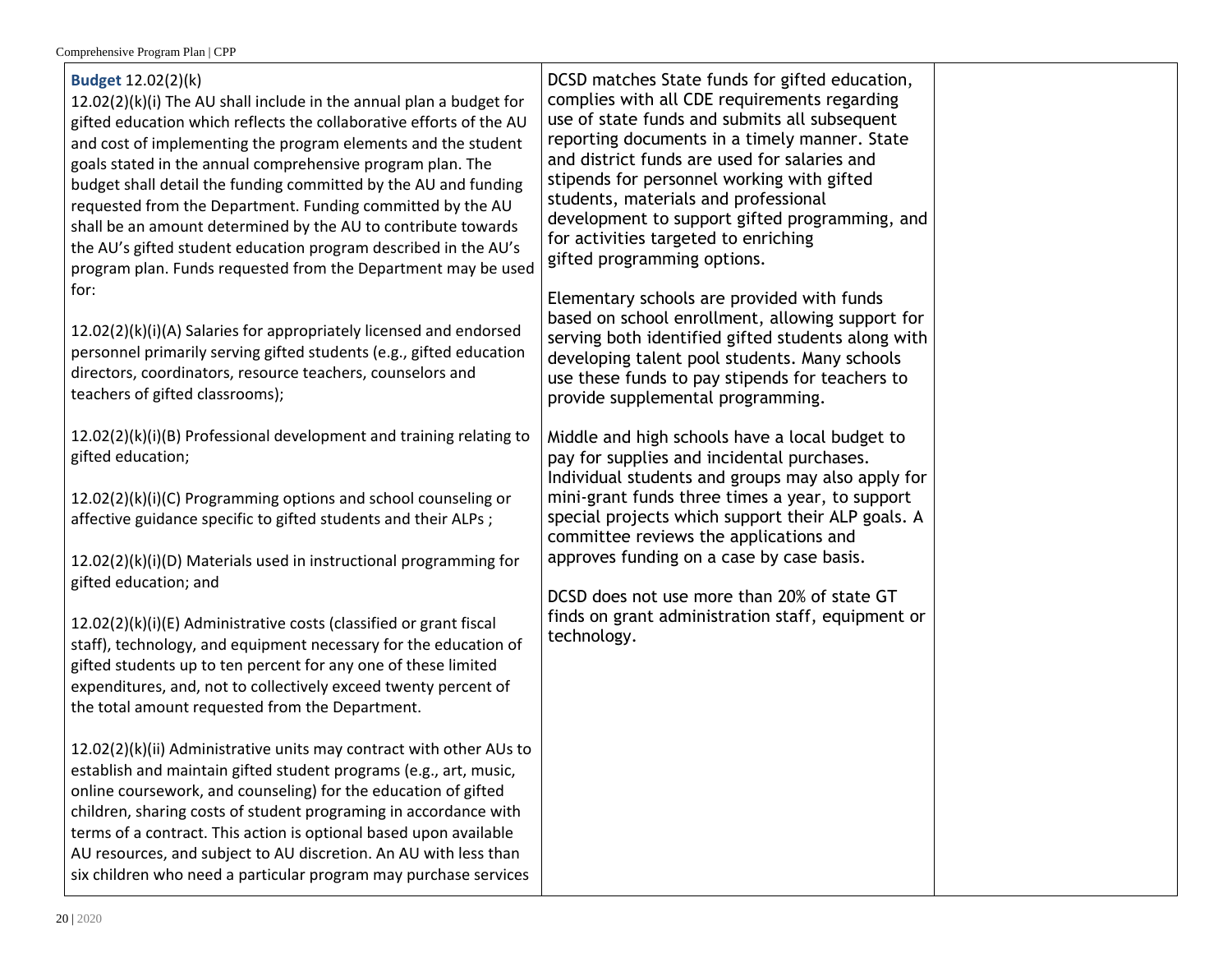| <b>Budget 12.02(2)(k)</b><br>12.02(2)(k)(i) The AU shall include in the annual plan a budget for<br>gifted education which reflects the collaborative efforts of the AU<br>and cost of implementing the program elements and the student<br>goals stated in the annual comprehensive program plan. The<br>budget shall detail the funding committed by the AU and funding<br>requested from the Department. Funding committed by the AU<br>shall be an amount determined by the AU to contribute towards<br>the AU's gifted student education program described in the AU's<br>program plan. Funds requested from the Department may be used                 | DCSD matches State funds for gifted education,<br>complies with all CDE requirements regarding<br>use of state funds and submits all subsequent<br>reporting documents in a timely manner. State<br>and district funds are used for salaries and<br>stipends for personnel working with gifted<br>students, materials and professional<br>development to support gifted programming, and<br>for activities targeted to enriching<br>gifted programming options.     |
|--------------------------------------------------------------------------------------------------------------------------------------------------------------------------------------------------------------------------------------------------------------------------------------------------------------------------------------------------------------------------------------------------------------------------------------------------------------------------------------------------------------------------------------------------------------------------------------------------------------------------------------------------------------|---------------------------------------------------------------------------------------------------------------------------------------------------------------------------------------------------------------------------------------------------------------------------------------------------------------------------------------------------------------------------------------------------------------------------------------------------------------------|
| for:<br>12.02(2)(k)(i)(A) Salaries for appropriately licensed and endorsed<br>personnel primarily serving gifted students (e.g., gifted education<br>directors, coordinators, resource teachers, counselors and<br>teachers of gifted classrooms);                                                                                                                                                                                                                                                                                                                                                                                                           | Elementary schools are provided with funds<br>based on school enrollment, allowing support for<br>serving both identified gifted students along with<br>developing talent pool students. Many schools<br>use these funds to pay stipends for teachers to<br>provide supplemental programming.                                                                                                                                                                       |
| 12.02(2)(k)(i)(B) Professional development and training relating to<br>gifted education;<br>12.02(2)(k)(i)(C) Programming options and school counseling or<br>affective guidance specific to gifted students and their ALPs;<br>12.02(2)(k)(i)(D) Materials used in instructional programming for<br>gifted education; and<br>12.02(2)(k)(i)(E) Administrative costs (classified or grant fiscal<br>staff), technology, and equipment necessary for the education of<br>gifted students up to ten percent for any one of these limited<br>expenditures, and, not to collectively exceed twenty percent of<br>the total amount requested from the Department. | Middle and high schools have a local budget to<br>pay for supplies and incidental purchases.<br>Individual students and groups may also apply for<br>mini-grant funds three times a year, to support<br>special projects which support their ALP goals. A<br>committee reviews the applications and<br>approves funding on a case by case basis.<br>DCSD does not use more than 20% of state GT<br>finds on grant administration staff, equipment or<br>technology. |
| 12.02(2)(k)(ii) Administrative units may contract with other AUs to<br>establish and maintain gifted student programs (e.g., art, music,<br>online coursework, and counseling) for the education of gifted<br>children, sharing costs of student programing in accordance with<br>terms of a contract. This action is optional based upon available<br>AU resources, and subject to AU discretion. An AU with less than<br>six children who need a particular program may purchase services                                                                                                                                                                  |                                                                                                                                                                                                                                                                                                                                                                                                                                                                     |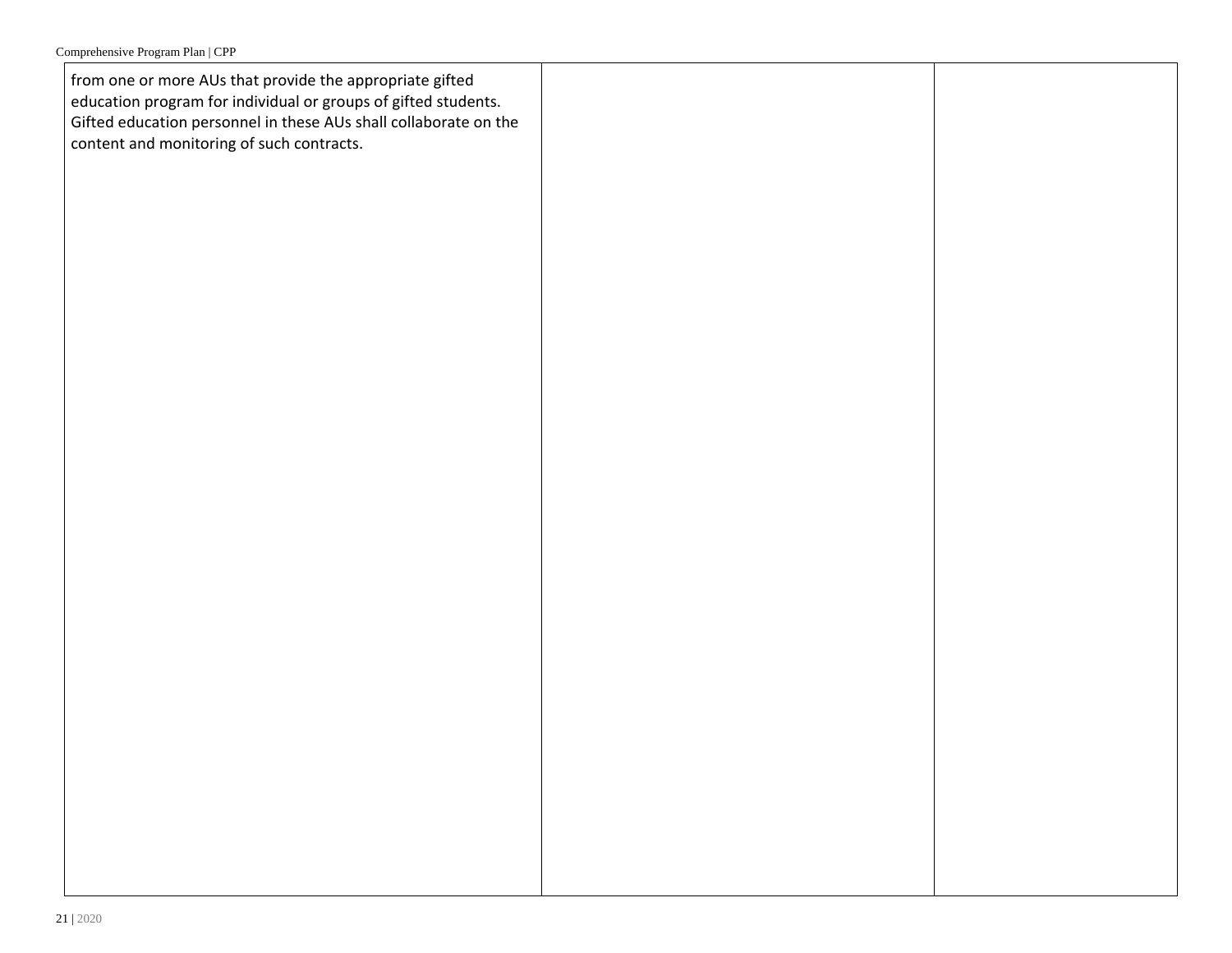from one or more AUs that provide the appropriate gifted education program for individual or groups of gifted students. Gifted education personnel in these AUs shall collaborate on the content and monitoring of such contracts.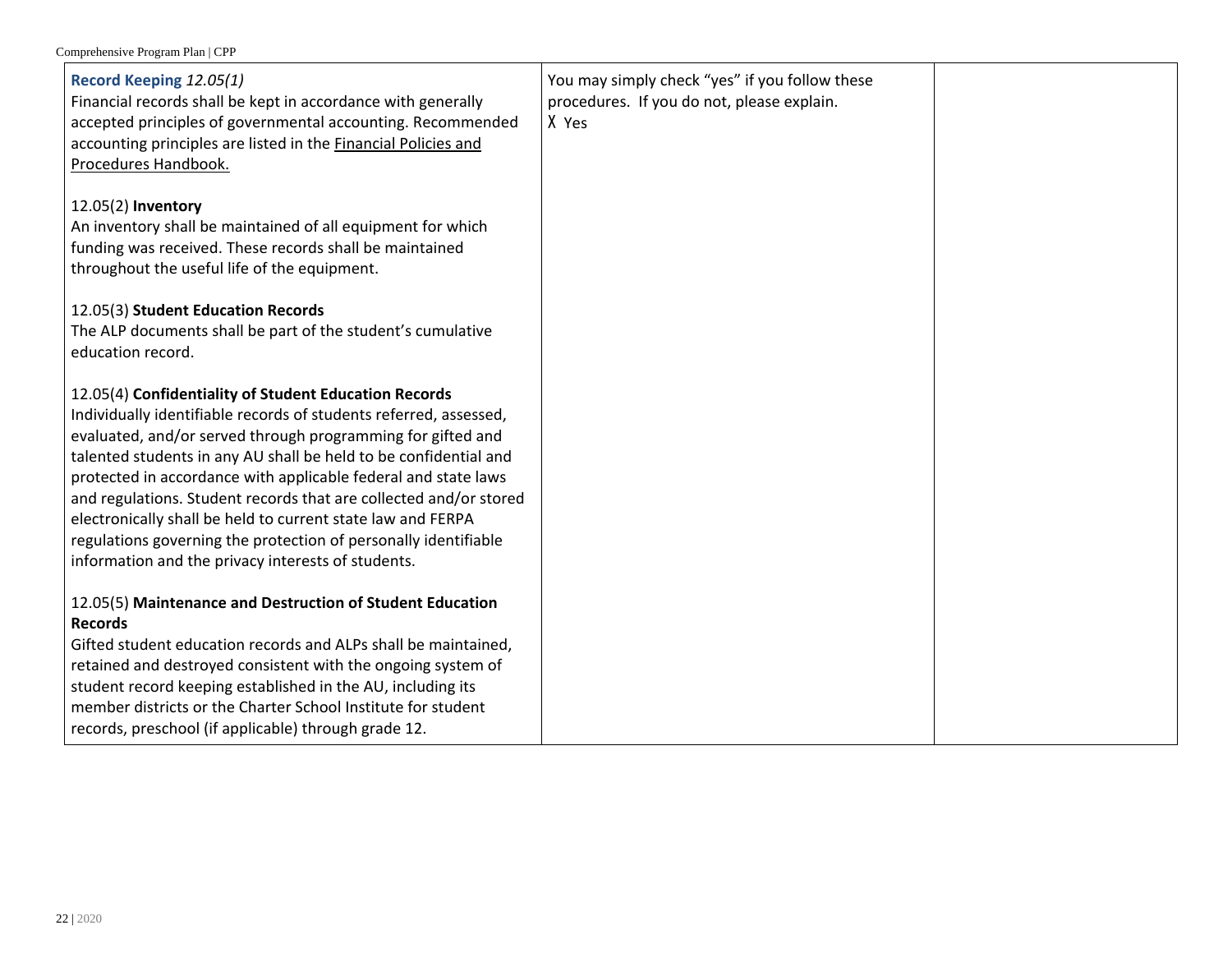| Record Keeping 12.05(1)<br>Financial records shall be kept in accordance with generally<br>accepted principles of governmental accounting. Recommended<br>accounting principles are listed in the Financial Policies and<br>Procedures Handbook.                                                                                                                                                                                                                                                                                                                                             | You may simply check "yes" if you follow these<br>procedures. If you do not, please explain.<br>X Yes |  |
|----------------------------------------------------------------------------------------------------------------------------------------------------------------------------------------------------------------------------------------------------------------------------------------------------------------------------------------------------------------------------------------------------------------------------------------------------------------------------------------------------------------------------------------------------------------------------------------------|-------------------------------------------------------------------------------------------------------|--|
| 12.05(2) Inventory<br>An inventory shall be maintained of all equipment for which<br>funding was received. These records shall be maintained<br>throughout the useful life of the equipment.                                                                                                                                                                                                                                                                                                                                                                                                 |                                                                                                       |  |
| 12.05(3) Student Education Records<br>The ALP documents shall be part of the student's cumulative<br>education record.                                                                                                                                                                                                                                                                                                                                                                                                                                                                       |                                                                                                       |  |
| 12.05(4) Confidentiality of Student Education Records<br>Individually identifiable records of students referred, assessed,<br>evaluated, and/or served through programming for gifted and<br>talented students in any AU shall be held to be confidential and<br>protected in accordance with applicable federal and state laws<br>and regulations. Student records that are collected and/or stored<br>electronically shall be held to current state law and FERPA<br>regulations governing the protection of personally identifiable<br>information and the privacy interests of students. |                                                                                                       |  |
| 12.05(5) Maintenance and Destruction of Student Education<br><b>Records</b><br>Gifted student education records and ALPs shall be maintained,<br>retained and destroyed consistent with the ongoing system of<br>student record keeping established in the AU, including its<br>member districts or the Charter School Institute for student<br>records, preschool (if applicable) through grade 12.                                                                                                                                                                                         |                                                                                                       |  |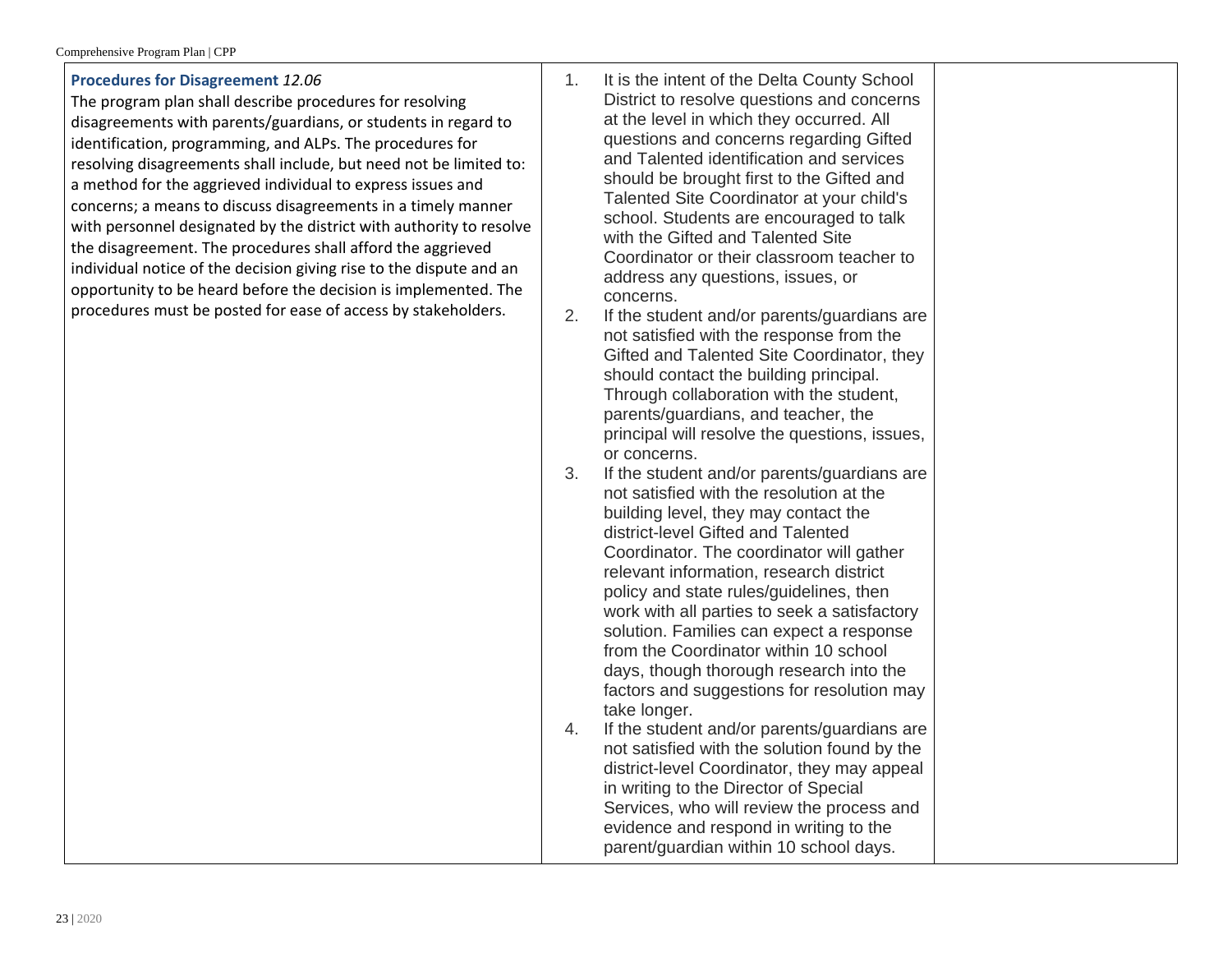| The program plan shall describe procedures for resolving<br>disagreements with parents/guardians, or students in regard to<br>identification, programming, and ALPs. The procedures for<br>resolving disagreements shall include, but need not be limited to:<br>a method for the aggrieved individual to express issues and<br>concerns; a means to discuss disagreements in a timely manner<br>with personnel designated by the district with authority to resolve<br>the disagreement. The procedures shall afford the aggrieved<br>individual notice of the decision giving rise to the dispute and an<br>opportunity to be heard before the decision is implemented. The<br>procedures must be posted for ease of access by stakeholders. | 2.<br>3.<br>4. | District to resolve questions and concerns<br>at the level in which they occurred. All<br>questions and concerns regarding Gifted<br>and Talented identification and services<br>should be brought first to the Gifted and<br>Talented Site Coordinator at your child's<br>school. Students are encouraged to talk<br>with the Gifted and Talented Site<br>Coordinator or their classroom teacher to<br>address any questions, issues, or<br>concerns.<br>If the student and/or parents/guardians are<br>not satisfied with the response from the<br>Gifted and Talented Site Coordinator, they<br>should contact the building principal.<br>Through collaboration with the student,<br>parents/guardians, and teacher, the<br>principal will resolve the questions, issues,<br>or concerns.<br>If the student and/or parents/guardians are<br>not satisfied with the resolution at the<br>building level, they may contact the<br>district-level Gifted and Talented<br>Coordinator. The coordinator will gather<br>relevant information, research district<br>policy and state rules/guidelines, then<br>work with all parties to seek a satisfactory<br>solution. Families can expect a response<br>from the Coordinator within 10 school<br>days, though thorough research into the<br>factors and suggestions for resolution may<br>take longer.<br>If the student and/or parents/guardians are<br>not satisfied with the solution found by the<br>district-level Coordinator, they may appeal<br>in writing to the Director of Special<br>Services, who will review the process and<br>evidence and respond in writing to the<br>parent/guardian within 10 school days. |  |
|------------------------------------------------------------------------------------------------------------------------------------------------------------------------------------------------------------------------------------------------------------------------------------------------------------------------------------------------------------------------------------------------------------------------------------------------------------------------------------------------------------------------------------------------------------------------------------------------------------------------------------------------------------------------------------------------------------------------------------------------|----------------|-------------------------------------------------------------------------------------------------------------------------------------------------------------------------------------------------------------------------------------------------------------------------------------------------------------------------------------------------------------------------------------------------------------------------------------------------------------------------------------------------------------------------------------------------------------------------------------------------------------------------------------------------------------------------------------------------------------------------------------------------------------------------------------------------------------------------------------------------------------------------------------------------------------------------------------------------------------------------------------------------------------------------------------------------------------------------------------------------------------------------------------------------------------------------------------------------------------------------------------------------------------------------------------------------------------------------------------------------------------------------------------------------------------------------------------------------------------------------------------------------------------------------------------------------------------------------------------------------------------------------------------------------------------------------------|--|
|------------------------------------------------------------------------------------------------------------------------------------------------------------------------------------------------------------------------------------------------------------------------------------------------------------------------------------------------------------------------------------------------------------------------------------------------------------------------------------------------------------------------------------------------------------------------------------------------------------------------------------------------------------------------------------------------------------------------------------------------|----------------|-------------------------------------------------------------------------------------------------------------------------------------------------------------------------------------------------------------------------------------------------------------------------------------------------------------------------------------------------------------------------------------------------------------------------------------------------------------------------------------------------------------------------------------------------------------------------------------------------------------------------------------------------------------------------------------------------------------------------------------------------------------------------------------------------------------------------------------------------------------------------------------------------------------------------------------------------------------------------------------------------------------------------------------------------------------------------------------------------------------------------------------------------------------------------------------------------------------------------------------------------------------------------------------------------------------------------------------------------------------------------------------------------------------------------------------------------------------------------------------------------------------------------------------------------------------------------------------------------------------------------------------------------------------------------------|--|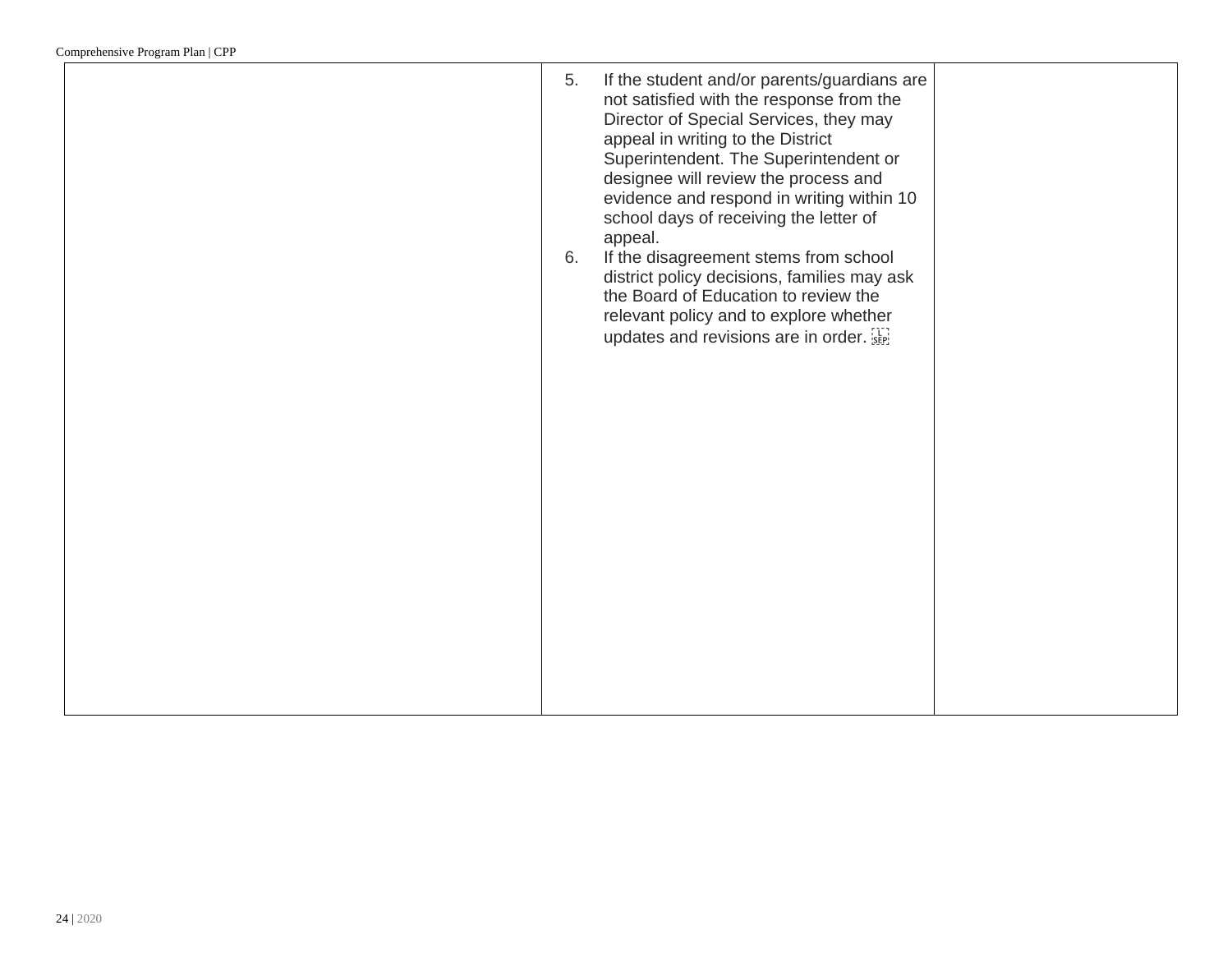| 5.<br>6. | If the student and/or parents/guardians are<br>not satisfied with the response from the<br>Director of Special Services, they may<br>appeal in writing to the District<br>Superintendent. The Superintendent or<br>designee will review the process and<br>evidence and respond in writing within 10<br>school days of receiving the letter of<br>appeal.<br>If the disagreement stems from school<br>district policy decisions, families may ask<br>the Board of Education to review the<br>relevant policy and to explore whether<br>updates and revisions are in order. |  |
|----------|----------------------------------------------------------------------------------------------------------------------------------------------------------------------------------------------------------------------------------------------------------------------------------------------------------------------------------------------------------------------------------------------------------------------------------------------------------------------------------------------------------------------------------------------------------------------------|--|
|          |                                                                                                                                                                                                                                                                                                                                                                                                                                                                                                                                                                            |  |